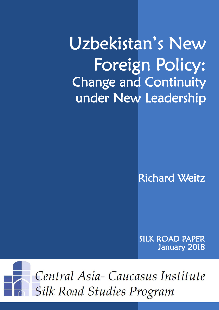Uzbekistan's New Foreign Policy: Change and Continuity under New Leadership

Richard Weitz

SILK ROAD PAPER January 2018



Central Asia-Caucasus Institute **Silk Road Studies Program**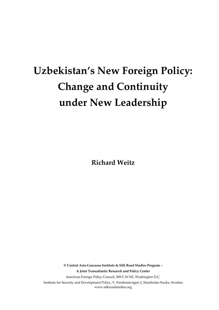# **Uzbekistan's New Foreign Policy: Change and Continuity under New Leadership**

**Richard Weitz**

**© Central Asia-Caucasus Institute & Silk Road Studies Program – A Joint Transatlantic Research and Policy Center** American Foreign Policy Council, 509 C St NE, Washington D.C. Institute for Security and Development Policy, V. Finnbodavägen 2, Stockholm-Nacka, Sweden www.silkroadstudies.org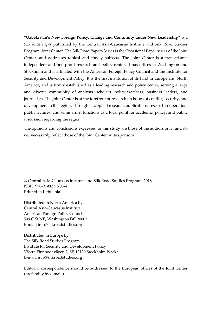**"Uzbekistan's New Foreign Policy: Change and Continuity under New Leadership"** is a *Silk Road Paper* published by the Central Asia-Caucasus Institute and Silk Road Studies Program, Joint Center. The Silk Road Papers Series is the Occasional Paper series of the Joint Center, and addresses topical and timely subjects. The Joint Center is a transatlantic independent and non-profit research and policy center. It has offices in Washington and Stockholm and is affiliated with the American Foreign Policy Council and the Institute for Security and Development Policy. It is the first institution of its kind in Europe and North America, and is firmly established as a leading research and policy center, serving a large and diverse community of analysts, scholars, policy-watchers, business leaders, and journalists. The Joint Center is at the forefront of research on issues of conflict, security, and development in the region. Through its applied research, publications, research cooperation, public lectures, and seminars, it functions as a focal point for academic, policy, and public discussion regarding the region.

The opinions and conclusions expressed in this study are those of the authors only, and do not necessarily reflect those of the Joint Center or its sponsors.

© Central Asia-Caucasus Institute and Silk Road Studies Program, 2018 ISBN: 978-91-88551-05-4 Printed in Lithuania

Distributed in North America by: Central Asia-Caucasus Institute American Foreign Policy Council 509 C St NE, Washington DC 20002 E-mail: info@silkroadstudies.org

Distributed in Europe by: The Silk Road Studies Program Institute for Security and Development Policy Västra Finnbodavägen 2, SE-13130 Stockholm-Nacka E-mail: info@silkroadstudies.org

Editorial correspondence should be addressed to the European offices of the Joint Center (preferably by e-mail.)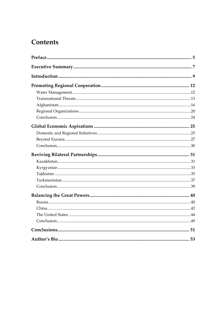# Contents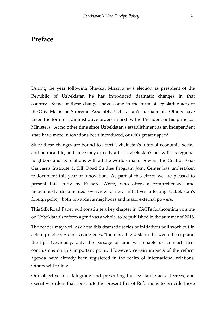### <span id="page-6-0"></span>**Preface**

During the year following Shavkat Mirziyoyev's election as president of the Republic of Uzbekistan he has introduced dramatic changes in that country. Some of these changes have come in the form of legislative acts of the Oliy Majlis or Supreme Assembly, Uzbekistan's parliament. Others have taken the form of administrative orders issued by the President or his principal Ministers. At no other time since Uzbekistan's establishment as an independent state have more innovations been introduced, or with greater speed.

Since these changes are bound to affect Uzbekistan's internal economic, social, and political life, and since they directly affect Uzbekistan's ties with its regional neighbors and its relations with all the world's major powers, the Central Asia-Caucasus Institute & Silk Road Studies Program Joint Center has undertaken to document this year of innovation. As part of this effort, we are pleased to present this study by Richard Weitz, who offers a comprehensive and meticulously documented overview of new initiatives affecting Uzbekistan's foreign policy, both towards its neighbors and major external powers.

This Silk Road Paper will constitute a key chapter in CACI's forthcoming volume on Uzbekistan's reform agenda as a whole, to be published in the summer of 2018.

The reader may well ask how this dramatic series of initiatives will work out in actual practice. As the saying goes, "there is a big distance between the cup and the lip." Obviously, only the passage of time will enable us to reach firm conclusions on this important point. However, certain impacts of the reform agenda have already been registered in the realm of international relations. Others will follow.

Our objective in cataloguing and presenting the legislative acts, decrees, and executive orders that constitute the present Era of Reforms is to provide those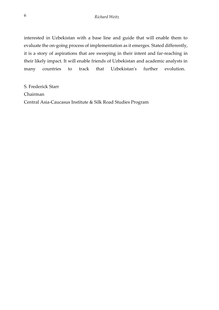interested in Uzbekistan with a base line and guide that will enable them to evaluate the on-going process of implementation as it emerges. Stated differently, it is a story of aspirations that are sweeping in their intent and far-reaching in their likely impact. It will enable friends of Uzbekistan and academic analysts in many countries to track that Uzbekistan's further evolution.

S. Frederick Starr Chairman Central Asia-Caucasus Institute & Silk Road Studies Program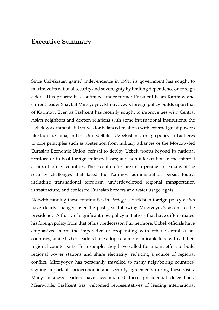### <span id="page-8-0"></span>**Executive Summary**

Since Uzbekistan gained independence in 1991, its government has sought to maximize its national security and sovereignty by limiting dependence on foreign actors. This priority has continued under former President Islam Karimov and current leader Shavkat Mirziyoyev. Mirziyoyev's foreign policy builds upon that of Karimov. Even as Tashkent has recently sought to improve ties with Central Asian neighbors and deepen relations with some international institutions, the Uzbek government still strives for balanced relations with external great powers like Russia, China, and the United States. Uzbekistan's foreign policy still adheres to core principles such as abstention from military alliances or the Moscow-led Eurasian Economic Union; refusal to deploy Uzbek troops beyond its national territory or to host foreign military bases; and non-intervention in the internal affairs of foreign countries. These continuities are unsurprising since many of the security challenges that faced the Karimov administration persist today, including transnational terrorism, underdeveloped regional transportation infrastructure, and contested Eurasian borders and water usage rights.

Notwithstanding these continuities in *strategy*, Uzbekistan foreign policy *tactics* have clearly changed over the past year following Mirziyoyev's ascent to the presidency. A flurry of significant new policy initiatives that have differentiated his foreign policy from that of his predecessor. Furthermore, Uzbek officials have emphasized more the imperative of cooperating with other Central Asian countries, while Uzbek leaders have adopted a more amicable tone with all their regional counterparts. For example, they have called for a joint effort to build regional power stations and share electricity, reducing a source of regional conflict. Mirziyoyev has personally travelled to many neighboring countries, signing important socioeconomic and security agreements during these visits. Many business leaders have accompanied these presidential delegations. Meanwhile, Tashkent has welcomed representatives of leading international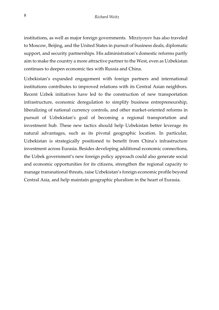institutions, as well as major foreign governments. Mirziyoyev has also traveled to Moscow, Beijing, and the United States in pursuit of business deals, diplomatic support, and security partnerships. His administration's domestic reforms partly aim to make the country a more attractive partner to the West, even as Uzbekistan continues to deepen economic ties with Russia and China.

Uzbekistan's expanded engagement with foreign partners and international institutions contributes to improved relations with its Central Asian neighbors. Recent Uzbek initiatives have led to the construction of new transportation infrastructure, economic deregulation to simplify business entrepreneurship, liberalizing of national currency controls, and other market-oriented reforms in pursuit of Uzbekistan's goal of becoming a regional transportation and investment hub. These new tactics should help Uzbekistan better leverage its natural advantages, such as its pivotal geographic location. In particular, Uzbekistan is strategically positioned to benefit from China's infrastructure investment across Eurasia. Besides developing additional economic connections, the Uzbek government's new foreign policy approach could also generate social and economic opportunities for its citizens, strengthen the regional capacity to manage transnational threats, raise Uzbekistan's foreign economic profile beyond Central Asia, and help maintain geographic pluralism in the heart of Eurasia.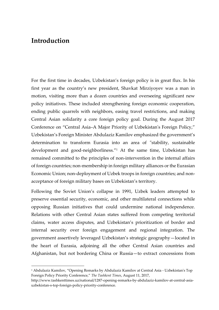## <span id="page-10-0"></span>**Introduction**

-

For the first time in decades, Uzbekistan's foreign policy is in great flux. In his first year as the country's new president, Shavkat Mirziyoyev was a man in motion, visiting more than a dozen countries and overseeing significant new policy initiatives. These included strengthening foreign economic cooperation, ending public quarrels with neighbors, easing travel restrictions, and making Central Asian solidarity a core foreign policy goal. During the August 2017 Conference on "Central Asia–A Major Priority of Uzbekistan's Foreign Policy," Uzbekistan's Foreign Minister Abdulaziz Kamilov emphasized the government's determination to transform Eurasia into an area of "stability, sustainable development and good-neighborliness."<sup>1</sup> At the same time, Uzbekistan has remained committed to the principles of non-intervention in the internal affairs of foreign countries; non-membership in foreign military alliances or the Eurasian Economic Union; non-deployment of Uzbek troops in foreign countries; and nonacceptance of foreign military bases on Uzbekistan's territory.

Following the Soviet Union's collapse in 1991, Uzbek leaders attempted to preserve essential security, economic, and other multilateral connections while opposing Russian initiatives that could undermine national independence. Relations with other Central Asian states suffered from competing territorial claims, water access disputes, and Uzbekistan's prioritization of border and internal security over foreign engagement and regional integration. The government assertively leveraged Uzbekistan's strategic geography—located in the heart of Eurasia, adjoining all the other Central Asian countries and Afghanistan, but not bordering China or Russia—to extract concessions from

<sup>1</sup> Abdulaziz Kamilov, "Opening Remarks by Abdulaziz Kamilov at Central Asia - Uzbekistan's Top Foreign Policy Priority Conference," *The Tashkent Times*, August 11, 2017,

http://www.tashkenttimes.uz/national/1287-opening-remarks-by-abdulaziz-kamilov-at-central-asiauzbekistan-s-top-foreign-policy-priority-conference.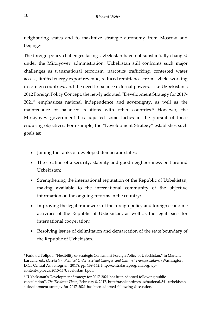neighboring states and to maximize strategic autonomy from Moscow and Beijing.<sup>2</sup>

The foreign policy challenges facing Uzbekistan have not substantially changed under the Mirziyovev administration. Uzbekistan still confronts such major challenges as transnational terrorism, narcotics trafficking, contested water access, limited energy export revenue, reduced remittances from Uzbeks working in foreign countries, and the need to balance external powers. Like Uzbekistan's 2012 Foreign Policy Concept, the newly adopted "Development Strategy for 2017- 2021" emphasizes national independence and sovereignty, as well as the maintenance of balanced relations with other countries.<sup>3</sup> However, the Mirziyoyev government has adjusted some tactics in the pursuit of these enduring objectives. For example, the "Development Strategy" establishes such goals as:

- Joining the ranks of developed democratic states;
- The creation of a security, stability and good neighborliness belt around Uzbekistan;
- Strengthening the international reputation of the Republic of Uzbekistan, making available to the international community of the objective information on the ongoing reforms in the country;
- Improving the legal framework of the foreign policy and foreign economic activities of the Republic of Uzbekistan, as well as the legal basis for international cooperation;
- Resolving issues of delimitation and demarcation of the state boundary of the Republic of Uzbekistan.

1

<sup>2</sup> Farkhod Tolipov, "Flexibility or Strategic Confusion? Foreign Policy of Uzbekistan," in Marlene Laruelle, ed., *Uzbekistan: Political Order, Societal Changes, and Cultural Transformations* (Washington, D.C.: Central Asia Program, 2017), pp. 139-142, http://centralasiaprogram.org/wpcontent/uploads/2015/11/Uzbekistan\_f.pdf.

<sup>&</sup>lt;sup>3</sup> "Uzbekistan's Development Strategy for 2017-2021 has been adopted following public consultation", *The Tashkent Times*, February 8, 2017, http://tashkenttimes.uz/national/541-uzbekistans-development-strategy-for-2017-2021-has-been-adopted-following-discussion.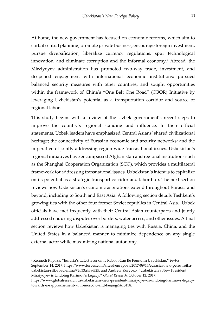At home, the new government has focused on economic reforms, which aim to curtail central planning, promote private business, encourage foreign investment, pursue diversification, liberalize currency regulations, spur technological innovation, and eliminate corruption and the informal economy.<sup>4</sup> Abroad, the Mirziyoyev administration has promoted two-way trade, investment, and deepened engagement with international economic institutions; pursued balanced security measures with other countries, and sought opportunities within the framework of China's "One Belt One Road" (OBOR) Initiative by leveraging Uzbekistan's potential as a transportation corridor and source of regional labor.

This study begins with a review of the Uzbek government's recent steps to improve the country's regional standing and influence. In their official statements, Uzbek leaders have emphasized Central Asians' shared civilizational heritage; the connectivity of Eurasian economic and security networks; and the imperative of jointly addressing region-wide transnational issues. Uzbekistan's regional initiatives have encompassed Afghanistan and regional institutions such as the Shanghai Cooperation Organization (SCO), which provides a multilateral framework for addressing transnational issues. Uzbekistan's intent is to capitalize on its potential as a strategic transport corridor and labor hub. The next section reviews how Uzbekistan's economic aspirations extend throughout Eurasia and beyond, including to South and East Asia. A following section details Tashkent's growing ties with the other four former Soviet republics in Central Asia. Uzbek officials have met frequently with their Central Asian counterparts and jointly addressed enduring disputes over borders, water access, and other issues. A final section reviews how Uzbekistan is managing ties with Russia, China, and the United States in a balanced manner to minimize dependence on any single external actor while maximizing national autonomy.

<sup>4</sup> Kenneth Rapoza, "Eurasia's Latest Economic Reboot Can Be Found In Uzbekistan," *Forbes*, September 14, 2017, https://www.forbes.com/sites/kenrapoza/2017/09/14/eurasias-new-perestroikauzbekistan-silk-road-china/#2033a4386f25; and Andrew Korybko, "Uzbekistan's New President Mirziyoyev is Undoing Karimov's Legacy," *Global Research*, October 12, 2017,

https://www.globalresearch.ca/uzbekistans-new-president-mirziyoyev-is-undoing-karimovs-legacytowards-a-rapprochement-with-moscow-and-beijing/5613138.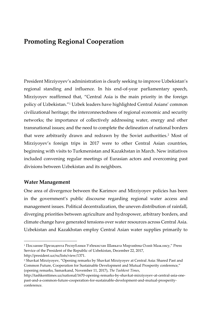# <span id="page-13-0"></span>**Promoting Regional Cooperation**

President Mirziyoyev's administration is clearly seeking to improve Uzbekistan's regional standing and influence. In his end-of-year parliamentary speech, Mirziyoyev reaffirmed that, "Central Asia is the main priority in the foreign policy of Uzbekistan."<sup>1</sup> Uzbek leaders have highlighted Central Asians' common civilizational heritage; the interconnectedness of regional economic and security networks; the importance of collectively addressing water, energy and other transnational issues; and the need to complete the delineation of national borders that were arbitrarily drawn and redrawn by the Soviet authorities.<sup>2</sup> Most of Mirziyoyev's foreign trips in 2017 were to other Central Asian countries, beginning with visits to Turkmenistan and Kazakhstan in March. New initiatives included convening regular meetings of Eurasian actors and overcoming past divisions between Uzbekistan and its neighbors.

### <span id="page-13-1"></span>**Water Management**

j

One area of divergence between the Karimov and Mirziyoyev policies has been in the government's public discourse regarding regional water access and management issues. Political decentralization, the uneven distribution of rainfall, diverging priorities between agriculture and hydropower, arbitrary borders, and climate change have generated tensions over water resources across Central Asia. Uzbekistan and Kazakhstan employ Central Asian water supplies primarily to

<sup>1</sup> Послание Президента Республики Узбекистан Шавката Мирзиёева Олий Мажлису," Press Service of the President of the Republic of Uzbekistan, December 22, 2017, http://president.uz/ru/lists/view/1371.

<sup>2</sup> Shavkat Mirziyoyev, "Opening remarks by Shavkat Mirziyoyev at Central Asia: Shared Past and Common Future, Cooperation for Sustainable Development and Mutual Prosperity conference," (opening remarks, Samarkand, November 11, 2017), *The Tashkent Times*,

http://tashkenttimes.uz/national/1670-opening-remarks-by-shavkat-mirziyoyev-at-central-asia-onepast-and-a-common-future-cooperation-for-sustainable-development-and-mutual-prosperityconference.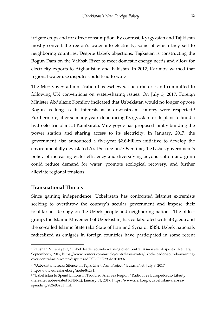irrigate crops and for direct consumption. By contrast, Kyrgyzstan and Tajikistan mostly convert the region's water into electricity, some of which they sell to neighboring countries. Despite Uzbek objections, Tajikistan is constructing the Rogun Dam on the Vakhsh River to meet domestic energy needs and allow for electricity exports to Afghanistan and Pakistan. In 2012, Karimov warned that regional water use disputes could lead to war.<sup>3</sup>

The Mirziyoyev administration has eschewed such rhetoric and committed to following UN conventions on water-sharing issues. On July 5, 2017, Foreign Minister Abdulaziz Komilov indicated that Uzbekistan would no longer oppose Rogun as long as its interests as a downstream country were respected.<sup>4</sup> Furthermore, after so many years denouncing Kyrgyzstan for its plans to build a hydroelectric plant at Kambarata, Mirziyoyev has proposed jointly building the power station and sharing access to its electricity. In January, 2017, the government also announced a five-year \$2.6-billion initiative to develop the environmentally devastated Aral Sea region.<sup>5</sup> Over time, the Uzbek government's policy of increasing water efficiency and diversifying beyond cotton and grain could reduce demand for water, promote ecological recovery, and further alleviate regional tensions.

#### <span id="page-14-0"></span>**Transnational Threats**

-

Since gaining independence, Uzbekistan has confronted Islamist extremists seeking to overthrow the country's secular government and impose their totalitarian ideology on the Uzbek people and neighboring nations. The oldest group, the Islamic Movement of Uzbekistan, has collaborated with al-Qaeda and the so-called Islamic State (aka State of Iran and Syria or ISIS). Uzbek nationals radicalized as emigrés in foreign countries have participated in some recent

<sup>3</sup> Raushan Nurshayeva, "Uzbek leader sounds warning over Central Asia water disputes," Reuters, September 7, 2012, https://www.reuters.com/article/centralasia-water/uzbek-leader-sounds-warningover-central-asia-water-disputes-idUSL6E8K793I20120907.

<sup>4</sup> "Uzbekistan Breaks Silence on Tajik Giant Dam Project," EurasiaNet, July 8, 2017, http://www.eurasianet.org/node/84281.

<sup>5</sup> "Uzbekistan to Spend Billions in Troubled Aral Sea Region," Radio Free Europe/Radio Liberty (hereafter abbreviated RFE/RL), January 31, 2017, https://www.rferl.org/a/uzbekistan-aral-seaspending/28269828.html.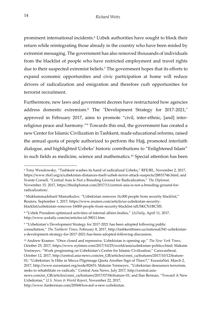prominent international incidents.<sup>6</sup> Uzbek authorities have sought to block their return while reintegrating those already in the country who have been misled by extremist messaging. The government has also removed thousands of individuals from the blacklist of people who have restricted employment and travel rights due to their suspected extremist beliefs.<sup>7</sup> The government hopes that its efforts to expand economic opportunities and civic participation at home will reduce drivers of radicalization and emigration and therefore curb opportunities for terrorist recruitment.

Furthermore, new laws and government decrees have restructured how agencies address domestic extremism.<sup>8</sup> The "Development Strategy for 2017-2021," approved in February 2017, aims to promote "civil, inter-ethnic, [and] interreligious peace and harmony."<sup>9</sup> Towards this end, the government has created a new Center for Islamic Civilization in Tashkent, made educational reforms, raised the annual quota of people authorized to perform the Hajj, promoted interfaith dialogue, and highlighted Uzbeks' historic contributions to "Enlightened Islam" in such fields as medicine, science and mathematics.<sup>10</sup> Special attention has been

http://www.ilanberman.com/20568/toward-a-new-uzbekistan.

1

<sup>6</sup> Tony Wesolowsky, "Tashkent washes its hand of radicalized Uzbeks," RFE/RL, November 2, 2017, https://www.rferl.org/a/uzbekistan-distances-itself-uzbek-terror-attack-suspects/28831746.html; and Svante Cornell, "Central Asia Is Not a Breeding Ground for Radicalization," *The Diplomat*, November 15, 2017, https://thediplomat.com/2017/11/central-asia-is-not-a-breeding-ground-forradicalization/.

<sup>7</sup> Mukhammadsharif Mamatkulov, "Uzbekistan removes 16,000 people from security blacklist," Reuters, September 1, 2017, https://www.reuters.com/article/us-uzbekistan-securityblacklist/uzbekistan-removes-16000-people-from-security-blacklist-idUSKCN1BC5IS.

<sup>8</sup> "Uzbek President optimized activities of internal affairs bodies," *UzDaily*, April 11, 2017, http://www.uzdaily.com/en/articles-id-39011.htm.

<sup>9</sup> "Uzbekistan's Development Strategy for 2017-2021 has been adopted following public consultation," *The Tashkent Times*, February 8, 2017, http://tashkenttimes.uz/national/541-uzbekistans-development-strategy-for-2017-2021-has-been-adopted-following-discussion.

<sup>10</sup> Andrew Kramer, "Once closed and repressive, Uzbekistan is opening up," *The New York Times*, October 25, 2017, https://www.nytimes.com/2017/10/25/world/asia/uzbekistan-politics.html; Maksim Yeniseyev, "Work progressing on Uzbekistan's Centre for Islamic Civilization," CaravanSerai, October 12, 2017, http://central.asia-news.com/en\_GB/articles/cnmi\_ca/features/2017/10/12/feature-01; "Uzbekistan: Is Hike in Mecca Pilgrimage Quota Another Sign of Thaw?," EurasiaNet, March 2, 2017, http://www.eurasianet.org/node/82651; Maksim Yeniseyev, "Uzbekistan denounces terrorism, seeks to rehabilitate ex-radicals," Central Asia News, July 2017, http://central.asia-

news.com/en\_GB/articles/cnmi\_ca/features/2017/07/06/feature-01; and Ilan Berman, "Toward A New Uzbekistan," *U.S. News & World Report*, November 22, 2017,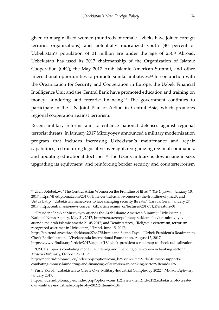given to marginalized women (hundreds of female Uzbeks have joined foreign terrorist organizations) and potentially radicalized youth (40 percent of Uzbekistan's population of 31 million are under the age of  $25$ ).<sup>11</sup> Abroad, Uzbekistan has used its 2017 chairmanship of the Organization of Islamic Cooperation (OIC), the May 2017 Arab Islamic American Summit, and other international opportunities to promote similar initiatives.<sup>12</sup> In conjunction with the Organization for Security and Cooperation in Europe, the Uzbek Financial Intelligence Unit and the Central Bank have promoted education and training on money laundering and terrorist financing.<sup>13</sup> The government continues to participate in the UN Joint Plan of Action in Central Asia, which promotes regional cooperation against terrorism.

Recent military reforms aim to enhance national defenses against regional terrorist threats. In January 2017 Mirziyoyev announced a military modernization program that includes increasing Uzbekistan's maintenance and repair capabilities, restructuring legislative oversight, reorganizing regional commands, and updating educational doctrines.<sup>14</sup> The Uzbek military is downsizing in size, upgrading its equipment, and reinforcing border security and counterterrorism

<sup>11</sup> Uran Botobekov, "The Central Asian Women on the Frontline of Jihad," *The Diplomat*, January 10, 2017, https://thediplomat.com/2017/01/the-central-asian-women-on-the-frontline-of-jihad/; and Untus Latip, "Uzbekistan maneuvers to face changing security threats," CaravanSerai, January 27, 2017, http://central.asia-news.com/en\_GB/articles/cnmi\_ca/features/2017/01/27/feature-01.

<sup>12</sup> "President Shavkat Mirziyoyev attends the Arab Islamic American Summit," Uzbekistan's National News Agency, May 21, 2017, http://uza.uz/en/politics/president-shavkat-mirziyoyevattends-the-arab-islamic-americ-21-05-2017; and Demir Azizov, "Religious extremism, terrorism recognized as crimes in Uzbekistan," Trend, June 15, 2017,

https://en.trend.az/casia/uzbekistan/2766775.html; and Skand Tayal, "Uzbek President's Roadmap to Check Radicalization," Vivekananda International Foundation, August 17, 2017,

http://www.vifindia.org/article/2017/august/16/uzbek-president-s-roadmap-to-check-radicalization.

<sup>&</sup>lt;sup>13</sup> "OSCE supports combating money laundering and financing of terrorism in banking sector," *Modern Diplomacy,* October 25, 2017,

http://moderndiplomacy.eu/index.php?option=com\_k2&view=item&id=3101:osce-supportscombating-money-laundering-and-financing-of-terrorism-in-banking-sector&Itemid=176.

<sup>14</sup> Yuriy Korol, "Uzbekistan to Create Own Military-Industrial Complex by 2022," *Modern Diplomacy*, January 2017,

http://moderndiplomacy.eu/index.php?option=com\_k2&view=item&id=2132:uzbekistan-to-createown-military-industrial-complex-by-2022&Itemid=134.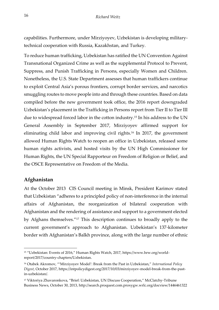capabilities. Furthermore, under Mirziyoyev, Uzbekistan is developing militarytechnical cooperation with Russia, Kazakhstan, and Turkey.

To reduce human trafficking, Uzbekistan has ratified the UN Convention Against Transnational Organized Crime as well as the supplemental Protocol to Prevent, Suppress, and Punish Trafficking in Persons, especially Women and Children. Nonetheless, the U.S. State Department assesses that human traffickers continue to exploit Central Asia's porous frontiers, corrupt border services, and narcotics smuggling routes to move people into and through these countries. Based on data compiled before the new government took office, the 2016 report downgraded Uzbekistan's placement in the Trafficking in Persons report from Tier II to Tier III due to widespread forced labor in the cotton industry.<sup>15</sup> In his address to the UN General Assembly in September 2017, Mirziyoyev affirmed support for eliminating child labor and improving civil rights.<sup>16</sup> In 2017, the government allowed Human Rights Watch to reopen an office in Uzbekistan, released some human rights activists, and hosted visits by the UN High Commissioner for Human Rights, the UN Special Rapporteur on Freedom of Religion or Belief, and the OSCE Representative on Freedom of the Media.

### <span id="page-17-0"></span>**Afghanistan**

1

At the October 2013 CIS Council meeting in Minsk, President Karimov stated that Uzbekistan "adheres to a principled policy of non-interference in the internal affairs of Afghanistan, the reorganization of bilateral cooperation with Afghanistan and the rendering of assistance and support to a government elected by Afghans themselves."<sup>17</sup> This description continues to broadly apply to the current government's approach to Afghanistan. Uzbekistan's 137-kilometer border with Afghanistan's Balkh province, along with the large number of ethnic

<sup>15</sup> "Uzbekistan: Events of 2016," Human Rights Watch, 2017, https://www.hrw.org/worldreport/2017/country-chapters/Uzbekistan.

<sup>16</sup> Otabek Akromov, "'Mirziyoyev Model': Break from the Past in Uzbekistan," *International Policy Digest*, October 2017, https://intpolicydigest.org/2017/10/03/mirziyoyev-model-break-from-the-pastin-uzbekistan/.

<sup>17</sup> Viktoriya Zhavaronkova, "Brief: Uzbekistan, UN Discuss Cooperation," McClatchy-Tribune Business News, October 30, 2013, http://search.proquest.com.proxygw.wrlc.org/docview/1446461322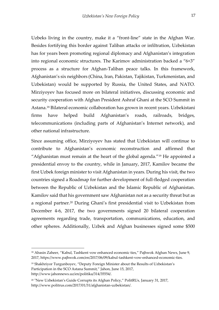Uzbeks living in the country, make it a "front-line" state in the Afghan War. Besides fortifying this border against Taliban attacks or infiltration, Uzbekistan has for years been promoting regional diplomacy and Afghanistan's integration into regional economic structures. The Karimov administration backed a "6+3" process as a structure for Afghan-Taliban peace talks. In this framework, Afghanistan's six neighbors (China, Iran, Pakistan, Tajikistan, Turkmenistan, and Uzbekistan) would be supported by Russia, the United States, and NATO. Mirziyoyev has focused more on bilateral initiatives, discussing economic and security cooperation with Afghan President Ashraf Ghani at the SCO Summit in Astana.<sup>18</sup> Bilateral economic collaboration has grown in recent years. Uzbekistani firms have helped build Afghanistan's roads, railroads, bridges, telecommunications (including parts of Afghanistan's Internet network), and other national infrastructure.

Since assuming office, Mirziyoyev has stated that Uzbekistan will continue to contribute to Afghanistan's economic reconstruction and affirmed that "Afghanistan must remain at the heart of the global agenda."<sup>19</sup> He appointed a presidential envoy to the country, while in January, 2017, Kamilov became the first Uzbek foreign minister to visit Afghanistan in years. During his visit, the two countries signed a Roadmap for further development of full-fledged cooperation between the Republic of Uzbekistan and the Islamic Republic of Afghanistan. Kamilov said that his government saw Afghanistan not as a security threat but as a regional partner.<sup>20</sup> During Ghani's first presidential visit to Uzbekistan from December 4-6, 2017, the two governments signed 20 bilateral cooperation agreements regarding trade, transportation, communications, education, and other spheres. Additionally, Uzbek and Afghan businesses signed some \$500

<sup>&</sup>lt;sup>18</sup> Abasin Zaheer, "Kabul, Tashkent vow enhanced economic ties," Pajhwok Afghan News, June 9, 2017, https://www.pajhwok.com/en/2017/06/09/kabul-tashkent-vow-enhanced-economic-ties.

<sup>&</sup>lt;sup>19</sup> Shakhriyor Turgunboyev, "Deputy Foreign Minister about the Results of Uzbekistan's Participation in the SCO Astana Summit," Jahon, June 15, 2017, http://www.jahonnews.uz/en/politika/314/35554/.

<sup>20</sup> "New Uzbekistan's Guide Corrupts its Afghan Policy," PolitRUs*,* January 31, 2017, http://www.politrus.com/2017/01/31/afghanistan-uzbekistan/.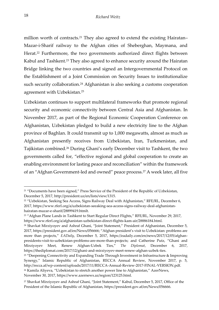million worth of contracts.<sup>21</sup> They also agreed to extend the existing Hairatan– Mazar-i-Sharif railway to the Afghan cities of Sheberghan, Maymana, and Herat. <sup>22</sup> Furthermore, the two governments authorized direct flights between Kabul and Tashkent.<sup>23</sup> They also agreed to enhance security around the Hairatan Bridge linking the two countries and signed an Intergovernmental Protocol on the Establishment of a Joint Commission on Security Issues to institutionalize such security collaboration.<sup>24</sup> Afghanistan is also seeking a customs cooperation agreement with Uzbekistan.<sup>25</sup>

Uzbekistan continues to support multilateral frameworks that promote regional security and economic connectivity between Central Asia and Afghanistan. In November 2017, as part of the Regional Economic Cooperation Conference on Afghanistan, Uzbekistan pledged to build a new electricity line to the Afghan province of Baghlan. It could transmit up to 1,000 megawatts, almost as much as Afghanistan presently receives from Uzbekistan, Iran, Turkmenistan, and Tajikistan combined.<sup>26</sup> During Ghani's early December visit to Tashkent, the two governments called for, "effective regional and global cooperation to create an enabling environment for lasting peace and reconciliation" within the framework of an "Afghan Government-led and owned" peace process.<sup>27</sup> A week later, all five

1

<sup>&</sup>lt;sup>21</sup> "Documents have been signed," Press Service of the President of the Republic of Uzbekistan, December 5, 2017, http://president.uz/en/lists/view/1315.

<sup>&</sup>lt;sup>22</sup> "Uzbekistan, Seeking Sea Access, Signs Railway Deal with Afghanistan," RFE/RL, December 6, 2017, https://www.rferl.org/a/uzbekistan-seeaking-sea-access-signs-railway-deal-afghanistanhairatan-mazar-e-sharif/28899419.htmlt.

<sup>23</sup> "Afghan Plane Lands in Tashkent to Start Regular Direct Flights," RFE/RL, November 29, 2017, https://www.rferl.org/a/afghanistan-uzbekistan-direct-flights-kam-air/28886184.html.

<sup>24</sup> Shavkat Mirziyoyev and Ashraf Ghani, "Joint Statement," President of Afghanistan, December 5, 2017, https://president.gov.af/en/News/056666; "Afghan president's visit to Uzbekistan: problems are more than projects," *EADaily*, December 5, 2017, https://eadaily.com/en/news/2017/12/05/afghanpresidents-visit-to-uzbekistan-problems-are-more-than-projects; and Catherine Putz, "Ghani and Mirziyoyev Meet, Renew Afghan-Uzbek Ties," *The Diplomat*, December 6, 2017, https://thediplomat.com/2017/12/ghani-and-mirziyoyev-meet-renew-afghan-uzbek-ties.

<sup>&</sup>lt;sup>25</sup> "Deepening Connectivity and Expanding Trade Through Investment in Infrastructure & Improving Synergy," Islamic Republic of Afghanistan, RECCA Annual Review, November 2017, p. 5, http://recca.af/wp-content/uploads/2017/11/RECCA-Annual-Review-2017-FINAL-VERSION.pdf. <sup>26</sup> Kamila Aliyeva, "Uzbekistan to stretch another power line to Afghanistan," AzerNews, November 30, 2017, https://www.azernews.az/region/123125.html.

<sup>27</sup> Shavkat Mirziyoyev and Ashraf Ghani, "Joint Statement," Kabul, December 5, 2017, Office of the President of the Islamic Republic of Afghanistan, https://president.gov.af/en/News/056666.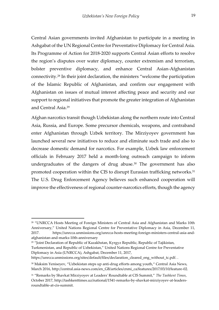Central Asian governments invited Afghanistan to participate in a meeting in Ashgabat of the UN Regional Centre for Preventative Diplomacy for Central Asia. Its Programme of Action for 2018-2020 supports Central Asian efforts to resolve the region's disputes over water diplomacy, counter extremism and terrorism, bolster preventive diplomacy, and enhance Central Asian-Afghanistan connectivity.<sup>28</sup> In their joint declaration, the ministers "welcome the participation of the Islamic Republic of Afghanistan, and confirm our engagement with Afghanistan on issues of mutual interest affecting peace and security and our support to regional initiatives that promote the greater integration of Afghanistan and Central Asia.<sup>29</sup>

Afghan narcotics transit though Uzbekistan along the northern route into Central Asia, Russia, and Europe. Some precursor chemicals, weapons, and contraband enter Afghanistan through Uzbek territory. The Mirziyoyev government has launched several new initiatives to reduce and eliminate such trade and also to decrease domestic demand for narcotics. For example, Uzbek law enforcement officials in February 2017 held a month-long outreach campaign to inform undergraduates of the dangers of drug abuse.<sup>30</sup> The government has also promoted cooperation within the CIS to disrupt Eurasian trafficking networks.<sup>31</sup> The U.S. Drug Enforcement Agency believes such enhanced cooperation will improve the effectiveness of regional counter-narcotics efforts, though the agency

<sup>29</sup> "Joint Declaration of Republic of Kazakhstan, Kyrgyz Republic, Republic of Tajikistan, Turkmenistan, and Republic of Uzbekistan," United Nations Regional Centre for Preventative

Diplomacy in Asia (UNRCCA), Ashgabat, December 11, 2017, [https://unrcca.unmissions.org/sites/default/files/declaration\\_cleared\\_eng\\_without\\_tc.pdf.](https://unrcca.unmissions.org/sites/default/files/declaration_cleared_eng_without_tc.pdf) .

<sup>&</sup>lt;sup>28</sup> "UNRCCA Hosts Meeting of Foreign Ministers of Central Asia and Afghanistan and Marks 10th Anniversary," United Nations Regional Centre for Preventative Diplomacy in Asia, December 11, 2017. https://unrcca.unmissions.org/unrcca-hosts-meeting-foreign-ministers-central-asia-andafghanistan-and-marks-10th-anniversary

<sup>&</sup>lt;sup>30</sup> Maksim Yeniseyev, "Uzbekistan steps up anti-drug efforts among youth," Central Asia News, March 2016, http://central.asia-news.com/en\_GB/articles/cnmi\_ca/features/2017/03/10/feature-02.

<sup>31</sup> "Remarks by Shavkat Mirziyoyev at Leaders' Roundtable at CIS Summit," *The Tashkent Times*, October 2017, http://tashkenttimes.uz/national/1541-remarks-by-shavkat-mirziyoyev-at-leadersroundtable-at-cis-summit.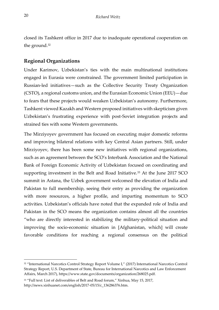closed its Tashkent office in 2017 due to inadequate operational cooperation on the ground.<sup>32</sup>

### <span id="page-21-0"></span>**Regional Organizations**

Under Karimov, Uzbekistan's ties with the main multinational institutions engaged in Eurasia were constrained. The government limited participation in Russian-led initiatives—such as the Collective Security Treaty Organization (CSTO), a regional customs union, and the Eurasian Economic Union (EEU)—due to fears that these projects would weaken Uzbekistan's autonomy. Furthermore, Tashkent viewed Kazakh and Western proposed initiatives with skepticism given Uzbekistan's frustrating experience with post-Soviet integration projects and strained ties with some Western governments.

The Mirziyoyev government has focused on executing major domestic reforms and improving bilateral relations with key Central Asian partners. Still, under Mirziyoyev, there has been some new initiatives with regional organizations, such as an agreement between the SCO's Interbank Association and the National Bank of Foreign Economic Activity of Uzbekistan focused on coordinating and supporting investment in the Belt and Road Initiative.<sup>33</sup> At the June 2017 SCO summit in Astana, the Uzbek government welcomed the elevation of India and Pakistan to full membership, seeing their entry as providing the organization with more resources, a higher profile, and imparting momentum to SCO activities. Uzbekistan's officials have noted that the expanded role of India and Pakistan in the SCO means the organization contains almost all the countries "who are directly interested in stabilizing the military-political situation and improving the socio-economic situation in [Afghanistan, which] will create favorable conditions for reaching a regional consensus on the political

j

<sup>32</sup> "International Narcotics Control Strategy Report Volume I," (2017) International Narcotics Control Strategy Report, U.S. Department of State, Bureau for International Narcotics and Law Enforcement Affairs, March 2017), https://www.state.gov/documents/organization/268025.pdf.

<sup>33</sup> "Full text: List of deliverables of Belt and Road forum," Xinhua, May 15, 2017, http://news.xinhuanet.com/english/2017-05/15/c\_136286376.htm.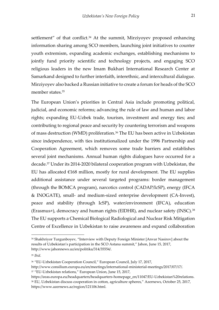settlement" of that conflict.<sup>34</sup> At the summit, Mirziyoyev proposed enhancing information sharing among SCO members, launching joint initiatives to counter youth extremism, expanding academic exchanges, establishing mechanisms to jointly fund priority scientific and technology projects, and engaging SCO religious leaders in the new Imam Bukhari International Research Center at Samarkand designed to further interfaith, interethnic, and intercultural dialogue. Mirziyoyev also backed a Russian initiative to create a forum for heads of the SCO member states.<sup>35</sup>

The European Union's priorities in Central Asia include promoting political, judicial, and economic reforms; advancing the rule of law and human and labor rights; expanding EU-Uzbek trade, tourism, investment and energy ties; and contributing to regional peace and security by countering terrorism and weapons of mass destruction (WMD) proliferation.<sup>36</sup> The EU has been active in Uzbekistan since independence, with ties institutionalized under the 1996 Partnership and Cooperation Agreement, which removes some trade barriers and establishes several joint mechanisms. Annual human rights dialogues have occurred for a decade.<sup>37</sup> Under its 2014-2020 bilateral cooperation program with Uzbekistan, the EU has allocated  $E168$  million, mostly for rural development. The EU supplies additional assistance under several targeted programs: border management (through the BOMCA program), narcotics control (CADAP/IcSP), energy (IFCA & INOGATE), small- and medium-sized enterprise development (CA-Invest), peace and stability (through IcSP), water/environment (IFCA), education (Erasmus+), democracy and human rights (EIDHR), and nuclear safety (INSC).<sup>38</sup> The EU supports a Chemical Biological Radiological and Nuclear Risk Mitigation Centre of Excellence in Uzbekistan to raise awareness and expand collaboration

<sup>34</sup> Shakhriyor Turgunboyev, "Interview with Deputy Foreign Minister [Anvar Nasirov] about the results of Uzbekistan's participation in the SCO Astana summit," Jahon, June 15, 2017, http://www.jahonnews.uz/en/politika/314/35554/.

<sup>35</sup> *Ibid*.

<sup>36</sup> "EU-Uzbekistan Cooperation Council," European Council, July 17, 2017,

http://www.consilium.europa.eu/en/meetings/international-ministerial-meetings/2017/07/17/. <sup>37</sup> "EU-Uzbekistan relations," European Union, June 15, 2017,

https://eeas.europa.eu/headquarters/headquarters-homepage\_en/11047/EU-Uzbekistan%20relations. <sup>38</sup> EU, Uzbekistan discuss cooperation in cotton, agriculture spheres," Azernews, October 25, 2017, https://www.azernews.az/region/121106.html.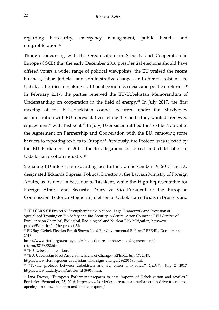regarding biosecurity, emergency management, public health, and nonproliferation.<sup>39</sup>

Though concurring with the Organization for Security and Cooperation in Europe (OSCE) that the early December 2016 presidential elections should have offered voters a wider range of political viewpoints, the EU praised the recent business, labor, judicial, and administrative changes and offered assistance to Uzbek authorities in making additional economic, social, and political reforms.<sup>40</sup> In February 2017, the parties renewed the EU-Uzbekistan Memorandum of Understanding on cooperation in the field of energy.<sup>41</sup> In July 2017, the first meeting of the EU-Uzbekistan council occurred under the Mirziyoyev administration with EU representatives telling the media they wanted "renewed engagement" with Tashkent.<sup>42</sup> In July, Uzbekistan ratified the Textile Protocol to the Agreement on Partnership and Cooperation with the EU, removing some barriers to exporting textiles to Europe.<sup>43</sup> Previously, the Protocol was rejected by the EU Parliament in 2011 due to allegations of forced and child labor in Uzbekistan's cotton industry.<sup>44</sup>

Signaling EU interest in expanding ties further, on September 19, 2017, the EU designated Eduards Stiprais, Political Director at the Latvian Ministry of Foreign Affairs, as its new ambassador to Tashkent, while the High Representative for Foreign Affairs and Security Policy & Vice-President of the European Commission, Federica Mogherini, met senior Uzbekistan officials in Brussels and

j

<sup>39</sup> "EU CBRN CE Project 53 Strengthening the National Legal Framework and Provision of Specialized Training on Bio-Safety and Bio-Security in Central Asian Countries," EU Centres of Excellence on Chemical, Biological, Radiological and Nuclear Risk Mitigation, http://coeproject53.istc.int/en/the-project-53/.

<sup>40</sup> EU Says Uzbek Election Result Shows Need For Governmental Reform," RFE/RL, December 6, 2016,

https://www.rferl.org/a/eu-says-uzbek-election-result-shows-need-governmentalreform/28158538.html.

<sup>41</sup> "EU-Uzbekistan relations."

<sup>42</sup> "EU, Uzbekistan Meet Amid Some Signs of Change," RFE/RL, July 17, 2017,

https://www.rferl.org/a/eu-uzbekistan-talks-signs-change/28620649.html.

<sup>43</sup> "Textile protocol between Uzbekistan and EU enters into force," *UzDaily*, July 2, 2017, https://www.uzdaily.com/articles-id-39966.htm.

<sup>44</sup> Iana Dreyer, "European Parliament prepares to ease imports of Uzbek cotton and textiles," Borderlex, September, 23, 2016, http://www.borderlex.eu/european-parliament-in-drive-to-endorseopening-up-to-uzbek-cotton-and-textiles-exports/.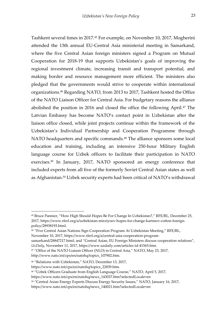Tashkent several times in 2017.<sup>45</sup> For example, on November 10, 2017, Mogherini attended the 13th annual EU-Central Asia ministerial meeting in Samarkand, where the five Central Asian foreign ministers signed a Program on Mutual Cooperation for 2018-19 that supports Uzbekistan's goals of improving the regional investment climate, increasing transit and transport potential, and making border and resource management more efficient. The ministers also pledged that the governments would strive to cooperate within international organizations.<sup>46</sup> Regarding NATO, from 2013 to 2017, Tashkent hosted the Office of the NATO Liaison Officer for Central Asia. For budgetary reasons the alliance abolished the position in 2016 and closed the office the following April.<sup>47</sup> The Latvian Embassy has become NATO's contact point in Uzbekistan after the liaison office closed, while joint projects continue within the framework of the Uzbekistan's Individual Partnership and Cooperation Programme through NATO headquarters and specific commands.<sup>48</sup> The alliance sponsors some local education and training, including an intensive 250-hour Military English language course for Uzbek officers to facilitate their participation in NATO exercises.<sup>49</sup> In January, 2017, NATO sponsored an energy conference that included experts from all five of the formerly Soviet Central Asian states as well as Afghanistan.<sup>50</sup> Uzbek security experts had been critical of NATO's withdrawal

<sup>46</sup> "Five Central Asian Nations Sign Cooperation Program At Uzbekistan Meeting," RFE/RL, November 10, 2017, https://www.rferl.org/a/central-asia-cooperation-program-

samarkand/28847217.html; and "Central Asian, EU Foreign Ministers discuss cooperation relations", *UzDaily*, November 11, 2017, https://www.uzdaily.com/articles-id-41565.htm.

<sup>47</sup> "Office of the NATO Liaison Officer (NLO) in Central Asia," NATO, May 23, 2017, http://www.nato.int/cps/en/natohq/topics\_107902.htm.

<sup>45</sup> Bruce Pannier, "How High Should Hopes Be For Change In Uzbekistan?," RFE/RL, December 25, 2017, https://www.rferl.org/a/uzbekistan-mirziyoev-hopes-for-change-karimov-cotton-foreignpolicy/28938193.html.

<sup>48</sup> "Relations with Uzbekistan," NATO, December 13, 2017,

https://www.nato.int/cps/en/natohq/topics\_22839.htm.

<sup>49</sup> "Uzbek Officers Graduate from English Language Course," NATO, April 5, 2017,

https://www.nato.int/cps/en/natohq/news\_143037.htm?selectedLocale=en

<sup>50</sup> "Central Asian Energy Experts Discuss Energy Security Issues," NATO, January 16, 2017,

https://www.nato.int/cps/en/natohq/news\_140021.htm?selectedLocale=en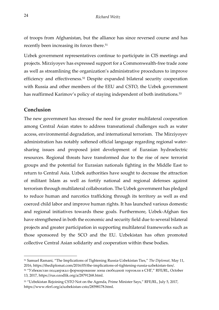of troops from Afghanistan, but the alliance has since reversed course and has recently been increasing its forces there.<sup>51</sup>

Uzbek government representatives continue to participate in CIS meetings and projects. Mirziyoyev has expressed support for a Commonwealth-free trade zone as well as streamlining the organization's administrative procedures to improve efficiency and effectiveness.<sup>52</sup> Despite expanded bilateral security cooperation with Russia and other members of the EEU and CSTO, the Uzbek government has reaffirmed Karimov's policy of staying independent of both institutions.<sup>53</sup>

### <span id="page-25-0"></span>**Conclusion**

-

The new government has stressed the need for greater multilateral cooperation among Central Asian states to address transnational challenges such as water access, environmental degradation, and international terrorism. The Mirziyoyev administration has notably softened official language regarding regional watersharing issues and proposed joint development of Eurasian hydroelectric resources. Regional threats have transformed due to the rise of new terrorist groups and the potential for Eurasian nationals fighting in the Middle East to return to Central Asia. Uzbek authorities have sought to decrease the attraction of militant Islam as well as fortify national and regional defenses against terrorism through multilateral collaboration. The Uzbek government has pledged to reduce human and narcotics trafficking through its territory as well as end coerced child labor and improve human rights. It has launched various domestic and regional initiatives towards these goals. Furthermore, Uzbek-Afghan ties have strengthened in both the economic and security field due to several bilateral projects and greater participation in supporting multilateral frameworks such as those sponsored by the SCO and the EU. Uzbekistan has often promoted collective Central Asian solidarity and cooperation within these bodies.

<sup>51</sup> Samuel Ramani, "The Implications of Tightening Russia-Uzbekistan Ties," *The Diplomat*, May 11, 2016, https://thediplomat.com/2016/05/the-implications-of-tightening-russia-uzbekistan-ties/.

<sup>52</sup> "Узбекистан поддержал формирование зоны свободной торговли в СНГ," RFE/RL, October 13, 2017, https://rus.ozodlik.org/a/28791268.html.

<sup>53</sup> "Uzbekistan Rejoining CSTO Not on the Agenda, Prime Minister Says," RFE/RL, July 5, 2017, https://www.rferl.org/a/uzbekistan-csto/28598178.html.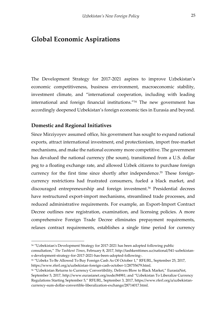# <span id="page-26-0"></span>**Global Economic Aspirations**

The Development Strategy for 2017-2021 aspires to improve Uzbekistan's economic competitiveness, business environment, macroeconomic stability, investment climate, and "international cooperation, including with leading international and foreign financial institutions."<sup>54</sup> The new government has accordingly deepened Uzbekistan's foreign economic ties in Eurasia and beyond.

#### <span id="page-26-1"></span>**Domestic and Regional Initiatives**

-

Since Mirziyoyev assumed office, his government has sought to expand national exports, attract international investment, end protectionism, import free-market mechanisms, and make the national economy more competitive. The government has devalued the national currency (the soum), transitioned from a U.S. dollar peg to a floating exchange rate, and allowed Uzbek citizens to purchase foreign currency for the first time since shortly after independence.<sup>55</sup> These foreigncurrency restrictions had frustrated consumers, fueled a black market, and discouraged entrepreneurship and foreign investment.<sup>56</sup> Presidential decrees have restructured export-import mechanisms, streamlined trade processes, and reduced administrative requirements. For example, an Export-Import Contract Decree outlines new registration, examination, and licensing policies. A more comprehensive Foreign Trade Decree eliminates prepayment requirements, relaxes contract requirements, establishes a single time period for currency

<sup>54</sup> "Uzbekistan's Development Strategy for 2017-2021 has been adopted following public consultation," *The Tashkent Times*, February 8, 2017, http://tashkenttimes.uz/national/541-uzbekistans-development-strategy-for-2017-2021-has-been-adopted-following-.

<sup>55</sup> "Uzbeks To Be Allowed To Buy Foreign Cash As Of October 1," RFE/RL, September 25, 2017, https://www.rferl.org/a/uzbekistan-foreign-cash-october-1/28755679.html.

<sup>56</sup> "Uzbekistan Returns to Currency Convertibility, Delivers Blow to Black Market," EurasiaNet, September 5, 2017, http://www.eurasianet.org/node/84981; and "Uzbekistan To Liberalize Currency Regulations Starting September 5," RFE/RL, September 3, 2017, https://www.rferl.org/a/uzbekistancurrency-sum-dollar-convertible-liberalization-exchange/28714017.html.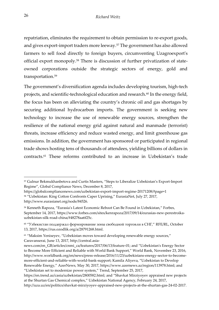repatriation, eliminates the requirement to obtain permission to re-export goods, and gives export-import traders more leeway.<sup>57</sup> The government has also allowed farmers to sell food directly to foreign buyers, circumventing Uzagroexport's official export monopoly.<sup>58</sup> There is discussion of further privatization of stateowned corporations outside the strategic sectors of energy, gold and transportation.<sup>59</sup>

The government's diversification agenda includes developing tourism, high-tech projects, and scientific-technological education and research.<sup>60</sup> In the energy field, the focus has been on alleviating the country's chronic oil and gas shortages by securing additional hydrocarbon imports. The government is seeking new technology to increase the use of renewable energy sources, strengthen the resilience of the national energy grid against natural and manmade (terrorist) threats, increase efficiency and reduce wasted energy, and limit greenhouse gas emissions. In addition, the government has sponsored or participated in regional trade shows hosting tens of thousands of attendees, yielding billions of dollars in contracts.<sup>61</sup> These reforms contributed to an increase in Uzbekistan's trade

1

<sup>57</sup> Gulnur Bekmukhanbetova and Curtis Masters, "Steps to Liberalize Uzbekistan's Export-Import Regime", Global Compliance News, December 8, 2017,

https://globalcompliancenews.com/uzbekistan-export-import-regime-20171208/#page=1 <sup>58</sup> "Uzbekistan: King Cotton Confronts Caper Uprising," EurasiaNet, July 27, 2017, http://www.eurasianet.org/node/84526.

<sup>59</sup> Kenneth Rapoza, "Eurasia's Latest Economic Reboot Can Be Found in Uzbekistan," Forbes*,*  September 14, 2017, https://www.forbes.com/sites/kenrapoza/2017/09/14/eurasias-new-perestroikauzbekistan-silk-road-china/#48278aa6f25c.

<sup>&</sup>lt;sup>60</sup> "Узбекистан поддержал формирование зоны свободной торговли в CHI," RFE/RL, October 13, 2017, https://rus.ozodlik.org/a/28791268.html.

<sup>61</sup> "Maksim Yeniseyev, "Uzbekistan moves toward developing renewable energy sources," Caravanserai*,* June 13, 2017, http://central.asia-

news.com/en\_GB/articles/cnmi\_ca/features/2017/06/13/feature-01; and "Uzbekistan's Energy Sector to Become More Efficient and Reliable with World Bank Support," World Bank, November 23, 2016, http://www.worldbank.org/en/news/press-release/2016/11/23/uzbekistans-energy-sector-to-becomemore-efficient-and-reliable-with-world-bank-support; Kamila Aliyeva, "Uzbekistan to Develop Renewable Energy," AzerNews*,* May 30, 2017, https://www.azernews.az/region/113978.html; and "Uzbekistan set to modernize power system," Trend, September 25, 2017,

https://en.trend.az/casia/uzbekistan/2800582.html; and "Shavkat Mirziyoyev appraised new projects at the Shurtan Gas Chemical complex," Uzbekistan National Agency, February 24, 2017, http://uza.uz/en/politics/shavkat-mirziyoyev-appraised-new-projects-at-the-shurtan-gas-24-02-2017.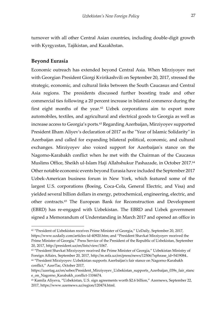turnover with all other Central Asian countries, including double-digit growth with Kyrgyzstan, Tajikistan, and Kazakhstan.

### <span id="page-28-0"></span>**Beyond Eurasia**

-

Economic outreach has extended beyond Central Asia. When Mirziyoyev met with Georgian President Giorgi Kvirikashvili on September 20, 2017, stressed the strategic, economic, and cultural links between the South Caucasus and Central Asia regions. The presidents discussed further boosting trade and other commercial ties following a 20 percent increase in bilateral commerce during the first eight months of the year.<sup>62</sup> Uzbek corporations aim to export more automobiles, textiles, and agricultural and electrical goods to Georgia as well as increase access to Georgia's ports.<sup>63</sup> Regarding Azerbaijan, Mirziyoyev supported President Ilham Aliyev's declaration of 2017 as the "Year of Islamic Solidarity" in Azerbaijan and called for expanding bilateral political, economic, and cultural exchanges. Mirziyoyev also voiced support for Azerbaijan's stance on the Nagorno-Karabakh conflict when he met with the Chairman of the Caucasus Muslims Office, Sheikh ul-Islam Haji Allahshukur Pashazade, in October 2017.<sup>64</sup> Other notable economic events beyond Eurasia have included the September 2017 Uzbek-American business forum in New York, which featured some of the largest U.S. corporations (Boeing, Coca-Cola, General Electric, and Visa) and yielded several billion dollars in energy, petrochemical, engineering, electric, and other contracts.<sup>65</sup> The European Bank for Reconstruction and Development (EBRD) has re-engaged with Uzbekistan. The EBRD and Uzbek government signed a Memorandum of Understanding in March 2017 and opened an office in

<sup>&</sup>lt;sup>62</sup> "President of Uzbekistan receives Prime Minister of Georgia," UzDaily, September 20, 2017, https://www.uzdaily.com/articles-id-40920.htm; and "President Shavkat Mirziyoyev received the Prime Minister of Georgia," Press Service of the President of the Republic of Uzbekistan, September 20, 2017, http://president.uz/en/lists/view/1067.

<sup>63</sup> "President Shavkat Mirziyoyev received the Prime Minister of Georgia," Uzbekistan Ministry of Foreign Affairs, September 20, 2017, http://m.mfa.uz/en/press/news/12506/?sphrase\_id=5419084.. <sup>64</sup> "President Mirziyoyev: Uzbekistan supports Azerbaijan's fair stance on Nagorno-Karabakh

conflict," AzerTac, October 2017,

https://azertag.az/en/xeber/President\_Mirziyoyev\_Uzbekistan\_supports\_Azerbaijan\_039s\_fair\_stanc e\_on\_Nagorno\_Karabakh\_conflict-1104674.

<sup>65</sup> Kamila Aliyeva, "Uzbekistan, U.S. sign agreements worth \$2.6 billion," Azernews, September 22, 2017, https://www.azernews.az/region/120474.html.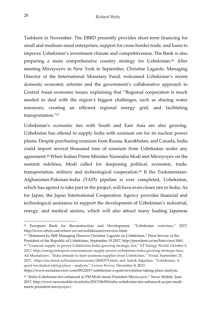Tashkent in November. The EBRD presently provides short-term financing for small and medium-sized enterprises, support for cross-border trade, and loans to improve Uzbekistan's investment climate and competitiveness. The Bank is also preparing a more comprehensive country strategy for Uzbekistan.<sup>66</sup> After meeting Mirziyoyev in New York in September, Christine Lagarde, Managing Director of the International Monetary Fund, welcomed Uzbekistan's recent domestic economic reforms and the government's collaborative approach to Central Asian economic issues, explaining that "Regional cooperation is much needed to deal with the region's biggest challenges, such as sharing water resources, creating an efficient regional energy grid, and facilitating transportation."<sup>67</sup>

Uzbekistan's economic ties with South and East Asia are also growing. Uzbekistan has offered to supply India with uranium ore for its nuclear power plants. Despite purchasing uranium from Russia, Kazakhstan, and Canada, India could import several thousand tons of uranium from Uzbekistan under any agreement.<sup>68</sup> When Indian Prime Minister Narendra Modi met Mirziyoyev on the summit sidelines, Modi called for deepening political, economic, trade, transportation, military and technological cooperation.<sup>69</sup> If the Turkmenistan-Afghanistan-Pakistan-India (TAPI) pipeline is ever completed, Uzbekistan, which has agreed to take part in the project, will have even closer ties to India. As for Japan, the Japan International Cooperation Agency provides financial and technological assistance to support the development of Uzbekistan's industrial, energy, and medical sectors, which will also attract many leading Japanese

<sup>67</sup> "Statement by IMF Managing Director Christine Lagarde on Uzbekistan," Press Service of the President of the Republic of Uzbekistan, September 19.2017, http://president.uz/en/lists/view/1061. <sup>68</sup> "Uranium supply to power Uzbekistan-India growing strategic ties," ET Energy World, October 3, 2017, http://energyinfrapost.com/uranium-supply-power-uzbekistan-india-growing-strategic-ties/; Ali Mustafayev, "India intends to start uranium supplies from Uzbekistan," Trend, September 25, 2017, https://en.trend.az/business/economy/2800379.html; and Ashok Sajjanhar, "Uzbekistan: A quiet revolution taking place – analysis," *Eurasia Review*, December 8, 2017,

https://www.eurasiareview.com/08122017-uzbekistan-a-quiet-revolution-taking-place-analysis.

j

<sup>66</sup> European Bank for Reconstruction and Development, "Uzbekistan overview," 2017, http://www.ebrd.com/where-we-are/uzbekistan/overview.html.

<sup>69</sup> "India-Uzbekistan ties enhanced as PM Modi meets President Mirziyoyev," News Mobile, June 2017, http://www.newsmobile.in/articles/2017/06/09/india-uzbekistan-ties-enhanced-as-pm-modimeets-president-mirziyoyev/.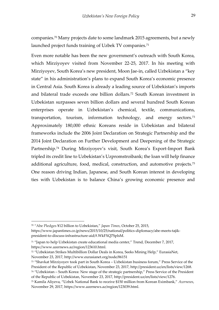companies.<sup>70</sup> Many projects date to some landmark 2015 agreements, but a newly launched project funds training of Uzbek TV companies.<sup>71</sup>

Even more notable has been the new government's outreach with South Korea, which Mirziyoyev visited from November 22-25, 2017. In his meeting with Mirziyoyev, South Korea's new president, Moon Jae-in, called Uzbekistan a "key state" in his administration's plans to expand South Korea's economic presence in Central Asia. South Korea is already a leading source of Uzbekistan's imports and bilateral trade exceeds one billion dollars.<sup>72</sup> South Korean investment in Uzbekistan surpasses seven billion dollars and several hundred South Korean enterprises operate in Uzbekistan's chemical, textile, communications, transportation, tourism, information technology, and energy sectors.<sup>73</sup> Approximately 180,000 ethnic Koreans reside in Uzbekistan and bilateral frameworks include the 2006 Joint Declaration on Strategic Partnership and the 2014 Joint Declaration on Further Development and Deepening of the Strategic Partnership.<sup>74</sup> During Mirziyoyev's visit, South Korea's Export-Import Bank tripled its credit line to Uzbekistan's Uzpromstroibank; the loan will help finance additional agriculture, food, medical, construction, and automotive projects.<sup>75</sup> One reason driving Indian, Japanese, and South Korean interest in developing ties with Uzbekistan is to balance China's growing economic presence and

<sup>70</sup> "Abe Pledges ¥12 billion to Uzbekistan," *Japan Times*, October 25, 2015, https://www.japantimes.co.jp/news/2015/10/25/national/politics-diplomacy/abe-meets-tajikpresident-to-discuss-infrastructure-aid/#.WkFXQ7SplsM.

<sup>71</sup> "Japan to help Uzbekistan create educational media center," Trend, December 7, 2017, https://www.azernews.az/region/123610.html.

<sup>72</sup> "Uzbekistan Strikes Multibillion Dollar Deals in Korea, Seeks Mining Help," EurasiaNet, November 23, 2017, http://www.eurasianet.org/node/86151

<sup>73</sup> "Shavkat Mirziyoyev took part in South Korea – Uzbekistan business forum," Press Service of the President of the Republic of Uzbekistan, November 23, 2017, http://president.uz/en/lists/view/1268. <sup>74</sup> "Uzbekistan – South Korea: New stage of the strategic partnership," Press Service of the President

of the Republic of Uzbekistan, November 23, 2017, http://president.uz/en/lists/view/1276.

<sup>75</sup> Kamila Aliyeva, "Uzbek National Bank to receive \$150 million from Korean Eximbank," *Azernews*, November 29, 2017, https://www.azernews.az/region/123039.html.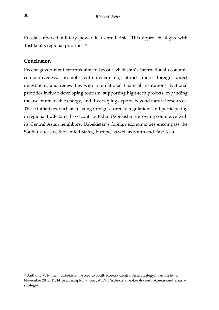Russia's revived military power in Central Asia. This approach aligns with Tashkent's regional priorities.<sup>76</sup>

### <span id="page-31-0"></span>**Conclusion**

Recent government reforms aim to boost Uzbekistan's international economic competitiveness, promote entrepreneurship, attract more foreign direct investment, and renew ties with international financial institutions. National priorities include developing tourism, supporting high-tech projects, expanding the use of renewable energy, and diversifying exports beyond natural resources. These initiatives, such as relaxing foreign-currency regulations and participating in regional trade fairs, have contributed to Uzbekistan's growing commerce with its Central Asian neighbors. Uzbekistan's foreign economic ties encompass the South Caucasus, the United States, Europe, as well as South and East Asia.

<sup>76</sup> Anthony V. Rinna, "Uzbekistan: A Key to South Korea's Central Asia Strategy," *The Diplomat*, November 28, 2017, https://thediplomat.com/2017/11/uzbekistan-a-key-to-south-koreas-central-asiastrategy/.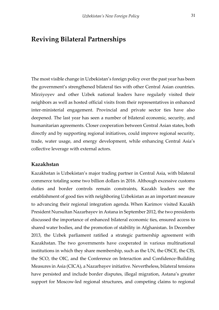### <span id="page-32-0"></span>**Reviving Bilateral Partnerships**

The most visible change in Uzbekistan's foreign policy over the past year has been the government's strengthened bilateral ties with other Central Asian countries. Mirziyoyev and other Uzbek national leaders have regularly visited their neighbors as well as hosted official visits from their representatives in enhanced inter-ministerial engagement. Provincial and private sector ties have also deepened. The last year has seen a number of bilateral economic, security, and humanitarian agreements. Closer cooperation between Central Asian states, both directly and by supporting regional initiatives, could improve regional security, trade, water usage, and energy development, while enhancing Central Asia's collective leverage with external actors.

### <span id="page-32-1"></span>**Kazakhstan**

Kazakhstan is Uzbekistan's major trading partner in Central Asia, with bilateral commerce totaling some two billion dollars in 2016. Although excessive customs duties and border controls remain constraints, Kazakh leaders see the establishment of good ties with neighboring Uzbekistan as an important measure to advancing their regional integration agenda. When Karimov visited Kazakh President Nursultan Nazarbayev in Astana in September 2012, the two presidents discussed the importance of enhanced bilateral economic ties, ensured access to shared water bodies, and the promotion of stability in Afghanistan. In December 2013, the Uzbek parliament ratified a strategic partnership agreement with Kazakhstan. The two governments have cooperated in various multinational institutions in which they share membership, such as the UN, the OSCE, the CIS, the SCO, the OIC, and the Conference on Interaction and Confidence-Building Measures in Asia (CICA), a Nazarbayev initiative. Nevertheless, bilateral tensions have persisted and include border disputes, illegal migration, Astana's greater support for Moscow-led regional structures, and competing claims to regional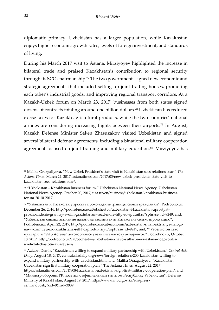diplomatic primacy. Uzbekistan has a larger population, while Kazakhstan enjoys higher economic growth rates, levels of foreign investment, and standards of living.

During his March 2017 visit to Astana, Mirziyoyev highlighted the increase in bilateral trade and praised Kazakhstan's contribution to regional security through its SCO chairmanship.<sup>77</sup> The two governments signed new economic and strategic agreements that included setting up joint trading houses, promoting each other's industrial goods, and improving regional transport corridors. At a Kazakh-Uzbek forum on March 23, 2017, businesses from both states signed dozens of contracts totaling around one billion dollars.<sup>78</sup> Uzbekistan has reduced excise taxes for Kazakh agricultural products, while the two countries' national airlines are considering increasing flights between their airports.<sup>79</sup> In August, Kazakh Defense Minister Saken Zhasuzakov visited Uzbekistan and signed several bilateral defense agreements, including a binational military cooperation agreement focused on joint training and military education.<sup>80</sup> Mirziyoyev has

<sup>77</sup> Malika Orazgaliyeva, "New Uzbek President's state visit to Kazakhstan sees relations soar," *The Astana Times*, March 24, 2017, astanatimes.com/2017/03/new-uzbek-presidents-state-visit-tokazakhstan-sees-relations-soar/.

<sup>78</sup> "Uzbekistan – Kazakhstan business forum," Uzbekistan National News Agency, Uzbekistan National News Agency, October 20, 2017, uza.uz/en/business/uzbekistan-kazakhstan-businessforum-20-10-2017.

<sup>79</sup> "Узбекистан и Казахстан упростят прохождение границы своим гражданам", Podrobno.uz, December 26, 2016, http://podrobno.uz/cat/obchestvo/uzbekistan-i-kazakhstan-uprostyatprokhozhdenie-granitsy-svoim-grazhdanam-read-more-http-ru-sputnikn/?sphrase\_id=9249; and, "Узбекистан снизил акцизные налоги на ввозимую из Казахстана сельхозпродукцию", Podrobno.uz, April 22, 2017, http://podrobno.uz/cat/economic/uzbekistan-snizil-aktsiznye-nalogina-vvozimuyu-iz-kazakhstana-selkhozproduktsiyu/?sphrase\_id=9249; and, ""Узбекистон хаво йуллари" и "Эйр Астана" договорились увеличить частоту авиарейсов," Podrobno.uz, October 18, 2017, http://podrobno.uz/cat/obchestvo/uzbekiston-khavo-yullari-i-eyr-astana-dogovorilisuvelichit-chastotu-aviareysov/

<sup>80</sup> Azizov, Demir. "Kazakhstan willing to expand military partnership with Uzbekistan," *Central Asia Daily*, August 18, 2017, centralasiadaily.org/news/foreign-relations/200-kazakhstan-willing-toexpand-military-partnership-with-uzbekistan.html; and, Malika Orazgaliyeva, "Kazakhstan, Uzbekistan sign first military cooperation plan," The Astana TImes, August 22, 2017, https://astanatimes.com/2017/08/kazakhstan-uzbekistan-sign-first-military-cooperation-plan/; and "Министр обороны РК посетил с официальным визитом Республику Узбекистан", Defense Ministry of Kazakhstan, August 19, 2017, https://www.mod.gov.kz/rus/presscentr/novosti/?cid=0&rid=3989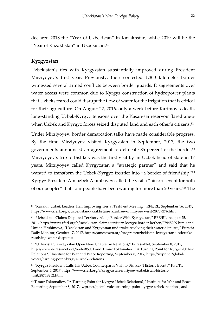declared 2018 the "Year of Uzbekistan" in Kazakhstan, while 2019 will be the "Year of Kazakhstan" in Uzbekistan.<sup>81</sup>

### <span id="page-34-0"></span>**Kyrgyzstan**

-

Uzbekistan's ties with Kyrgyzstan substantially improved during President Mirziyoyev's first year. Previously, their contested 1,300 kilometer border witnessed several armed conflicts between border guards. Disagreements over water access were common due to Kyrgyz construction of hydropower plants that Uzbeks feared could disrupt the flow of water for the irrigation that is critical for their agriculture. On August 22, 2016, only a week before Karimov's death, long-standing Uzbek-Kyrgyz tensions over the Kasan-sai reservoir flared anew when Uzbek and Kyrgyz forces seized disputed land and each other's citizens.<sup>82</sup>

Under Mirziyoyev, border demarcation talks have made considerable progress. By the time Mirziyoyev visited Kyrgyzstan in September, 2017, the two governments announced an agreement to delineate 85 percent of the border.<sup>83</sup> Mirziyoyev's trip to Bishkek was the first visit by an Uzbek head of state in 17 years. Mirziyoyev called Kyrgyzstan a "strategic partner" and said that he wanted to transform the Uzbek-Kyrgyz frontier into "a border of friendship."<sup>84</sup> Kyrgyz President Almazbek Atambayev called the visit a "historic event for both of our peoples" that "our people have been waiting for more than 20 years."<sup>85</sup> The

<sup>81</sup> "Kazakh, Uzbek Leaders Hail Improving Ties at Tashkent Meeting," RFE/RL, September 16, 2017, https://www.rferl.org/a/uzbekistan-kazakhstan-nazarbaev-mirziyoev-visit/28739276.html

<sup>82</sup> "Uzbekistan Claims Disputed Territory Along Border With Kyrgyzstan," RFE/RL, August 25, 2016, https://www.rferl.org/a/uzbekistan-claims-territory-kyrgyz-border-kerben/27945209.html; and Umida Hashimova, "Uzbekistan and Kyrgyzstan undertake resolving their water disputes," Eurasia Daily Monitor, October 17, 2017, https://jamestown.org/program/uzbekistan-kyrgyzstan-undertakeresolving-water-disputes/

<sup>83</sup> "Uzbekistan, Kyrgyzstan Open New Chapter in Relations," EurasiaNet, September 8, 2017, http://www.eurasianet.org/node/85051 and Timur Toktonaliev, "A Turning Point for Kyrgyz-Uzbek Relations?," Institute for War and Peace Reporting, September 8, 2017, https://iwpr.net/globalvoices/turning-point-kyrgyz-uzbek-relations.

<sup>84 &</sup>quot;Kyrgyz President Calls His Uzbek Counterpart's Visit to Bishkek 'Historic Event'," RFE/RL, September 5, 2017, https://www.rferl.org/a/kyrgyzstan-miriyoev-uzbekistan-historicvisit/28718252.html.

<sup>85</sup> Timur Toktonaliev, "A Turning Point for Kyrgyz-Uzbek Relations?," Institute for War and Peace Reporting, September 8, 2017, iwpr.net/global-voices/turning-point-kyrgyz-uzbek-relations; and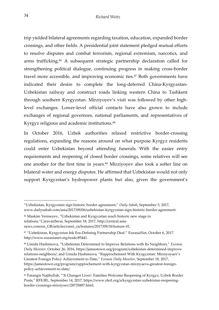trip yielded bilateral agreements regarding taxation, education, expanded border crossings, and other fields. A presidential joint statement pledged mutual efforts to resolve disputes and combat terrorism, regional extremism, narcotics, and arms trafficking.<sup>86</sup> A subsequent strategic partnership declaration called for strengthening political dialogue, continuing progress in making cross-border travel more accessible, and improving economic ties.<sup>87</sup> Both governments have indicated their desire to complete the long-deferred China-Kyrgyzstan-Uzbekistan railway and construct roads linking western China to Tashkent through southern Kyrgyzstan. Mirziyoyev's visit was followed by other highlevel exchanges. Lower-level official contacts have also grown to include exchanges of regional governors, national parliaments, and representatives of Kyrgyz religious and academic institutions.<sup>88</sup>

In October 2016, Uzbek authorities relaxed restrictive border-crossing regulations, expanding the reasons around on what purpose Kyrgyz residents could enter Uzbekistan beyond attending funerals. With the easier entry requirements and reopening of closed border crossings, some relatives will see one another for the first time in years.<sup>89</sup> Mirziyoyev also took a softer line on bilateral water and energy disputes. He affirmed that Uzbekistan would not only support Kyrgyzstan's hydropower plants but also, given the government's

<sup>&</sup>quot;Uzbekistan, Kyrgyzstan sign historic border agreement," *Daily Sabah*, September 5, 2017, www.dailysabah.com/asia/2017/09/06/uzbekistan-kyrgyzstan-sign-historic-border-agreement.

<sup>86</sup> Maskim Yeniseyev, "Uzbekistan and Kyrgyzstan reach historic new stage in relations,"CaravanSerai, September 18, 2017, http://central.asianews.com/en\_GB/articles/cnmi\_ca/features/2017/09/18/feature-01.

<sup>87</sup> "Uzbekistan, Kyrgyzstan Ink Era-Defining Partnership Deal." EurasiaNet, October 6, 2017. http://www.eurasianet.org/node/85441.

<sup>88</sup> Umida Hashimova, "Uzbekistan Determined to Improve Relations with Its Neighbors," *Eurasia Daily Monitor*, October 26, 2016, https://jamestown.org/program/uzbekistan-determined-improverelations-neighbors/; and Umida Hashimova, "Rapprochement With Kyrgyzstan: Mirziyoyaev's Greatest Foreign Policy Achievement to Date," *Eurasia Daily Monitor*, September 18, 2017, https://jamestown.org/program/rapprochement-with-kyrgyzstan-mirziyaevs-greatest-foreignpolicy-achievement-to-date/.

<sup>89</sup> Farangis Najibullah, "'It Changes Lives': Families Welcome Reopening of Kyrgyz, Uzbek Border Posts," RFE/RL*,* September 14, 2017, https://www.rferl.org/a/kyrgyzstan-uzbekistan-reopeningborder-crossings-mirziyoev/28735887.html.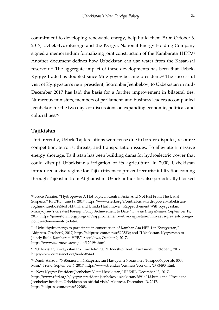commitment to developing renewable energy, help build them.<sup>90</sup> On October 6, 2017, UzbekHydroEnergo and the Kyrgyz National Energy Holding Company signed a memorandum formalizing joint construction of the Kambarata 1HPP.<sup>91</sup> Another document defines how Uzbekistan can use water from the Kasan-sai reservoir.<sup>92</sup> The aggregate impact of these developments has been that Uzbek-Kyrgyz trade has doubled since Mirziyoyev became president.<sup>93</sup> The successful visit of Kyrgyzstan's new president, Sooronbai Jeenbekov, to Uzbekistan in mid-December 2017 has laid the basis for a further improvement in bilateral ties. Numerous ministers, members of parliament, and business leaders accompanied Jeenbekov for the two days of discussions on expanding economic, political, and cultural ties.<sup>94</sup>

### <span id="page-36-0"></span>**Tajikistan**

-

Until recently, Uzbek-Tajik relations were tense due to border disputes, resource competition, terrorist threats, and transportation issues. To alleviate a massive energy shortage, Tajikistan has been building dams for hydroelectric power that could disrupt Uzbekistan's irrigation of its agriculture. In 2000, Uzbekistan introduced a visa regime for Tajik citizens to prevent terrorist infiltration coming through Tajikistan from Afghanistan. Uzbek authorities also periodically blocked

<sup>90</sup> Bruce Pannier, "Hydropower A Hot Topic In Central Asia, And Not Just From The Usual Suspects," RFE/RL, June 19, 2017, https://www.rferl.org/a/central-asia-hydropower-uzbekistanroghun-nurek-/28564134.html; and Umida Hashimova, "Rapprochement With Kyrgyzstan: Mirziyoyaev's Greatest Foreign Policy Achievement to Date," *Eurasia Daily Monitor*, September 18, 2017, https://jamestown.org/program/rapprochement-with-kyrgyzstan-mirziyaevs-greatest-foreignpolicy-achievement-to-date/.

<sup>91</sup> "Uzbekhydroenergo to participate in construction of Kambar-Ata HPP-1 in Kyrgyzstan," Akipress, October 9, 2017, https://akipress.com/news:597533/; and "Uzbekistan, Kyrgyzstan to Jointly Build Kambarata HPP," AzerNews, October 9, 2017, https://www.azernews.az/region/120194.html.

<sup>92</sup> "Uzbekistan, Kyrgyzstan Ink Era-Defining Partnership Deal," EurasiaNet, October 6, 2017. http://www.eurasianet.org/node/85441.

<sup>93</sup> Demir Azizov. "Узбекистан И Кыргызстан Намерены Увеличить Товарооборот До \$500 Млн." Trend, September 6, 2017, https://www.trend.az/business/economy/2793490.html.

<sup>94</sup> "New Kyrgyz President Jeenbekov Visits Uzbekistan," RFE/RL, December 13, 2017, https://www.rferl.org/a/kyrgyz-president-jeenbekov-uzbekistan/28914013.html; and "President Jeenbekov heads to Uzbekistan on official visit," Akipress, December 13, 2017, https://akipress.com/news:599908.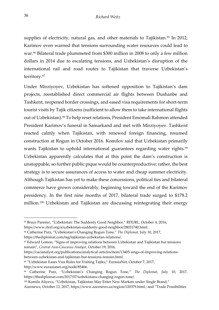supplies of electricity, natural gas, and other materials to Tajikistan.<sup>95</sup> In 2012, Karimov even warned that tensions surrounding water resources could lead to war.<sup>96</sup> Bilateral trade plummeted from \$300 million in 2008 to only a few million dollars in 2014 due to escalating tensions, and Uzbekistan's disruption of the international rail and road routes to Tajikistan that traverse Uzbekistan's territory.<sup>97</sup>

Under Mirziyoyev, Uzbekistan has softened opposition to Tajikistan's dam projects, reestablished direct commercial air flights between Dushanbe and Tashkent, reopened border crossings, and eased visa requirements for short-term tourist visits by Tajik citizens (sufficient to allow them to take international flights out of Uzbekistan).<sup>98</sup> To help reset relations, President Emomali Rahmon attended President Karimov's funeral in Samarkand and met with Mirziyoyev. Tashkent reacted calmly when Tajikistan, with renewed foreign financing, resumed construction at Rogun in October 2016. Komilov said that Uzbekistan primarily wants Tajikistan to uphold international guarantees regarding water rights.<sup>99</sup> Uzbekistan apparently calculates that at this point the dam's construction is unstoppable, so further public pique would be counterproductive; rather, the best strategy is to secure assurances of access to water and cheap summer electricity. Although Tajikistan has yet to make these concessions, political ties and bilateral commerce have grown considerably, beginning toward the end of the Karimov presidency. In the first nine months of 2017, bilateral trade surged to \$178.2 million.<sup>100</sup> Uzbekistan and Tajikistan are discussing reintegrating their energy

https://thediplomat.com/tag/tajikistan-uzbekistan-relations/.

https://cacianalyst.org/publications/analytical-articles/item/13405-sings-of-improving-relationsbetween-uzbekistan-and-tajikistan-but-tensions-remain.html.

<sup>95</sup> Bruce Pannier, "Uzbekistan: The Suddenly Good Neighbor," RFE/RL, October 4, 2016, https://www.rferl.org/a/uzbekistan-suddenly-good-neighbor/28031740.html.

<sup>96</sup> Catherine Putz, "Uzbekistan's Changing Rogun Tone," *The Diplomat,* July 10, 2017,

<sup>97</sup> Edward Lemon, "Signs of improving relations between Uzbekistan and Tajikistan but tensions remain", *Central Asia-Caucasus Analyst*, October 19, 2016,

<sup>98</sup> "Uzbekistan Eases Visa Rules for Visiting Tajiks," EurasiaNet, October 7, 2017, http://www.eurasianet.org/node/85466.

<sup>99</sup> Catherine Putz, "Uzbekistan's Changing Rogun Tone," *The Diplomat*, July 10, 2017, https://thediplomat.com/2017/07/uzbekistans-changing-rogun-tone/.

<sup>100</sup> Kamila Aliyeva, "Uzbekistan, Tajikistan May Enter New Markets under Single Brand,"

Azernews, October 13, 2017, https://www.azernews.az/region/120379.html.; and "Trade Possibilities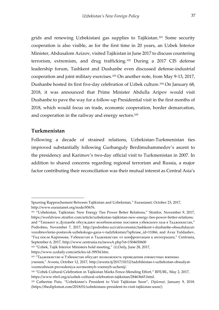grids and renewing Uzbekistani gas supplies to Tajikistan.<sup>101</sup> Some security cooperation is also visible, as for the first time in 20 years, an Uzbek Interior Minister, Abdusalom Azizov, visited Tajikistan in June 2017 to discuss countering terrorism, extremism, and drug trafficking.<sup>102</sup> During a 2017 CIS defense leadership forum, Tashkent and Dushanbe even discussed defense-industrial cooperation and joint military exercises.<sup>103</sup> On another note, from May 9-13, 2017, Dushanbe hosted its first five-day celebration of Uzbek culture.<sup>104</sup> On January 68, 2018, it was announced that Prime Minister Abdulla Aripov would visit Dushanbe to pave the way for a follow-up Presidential visit in the first months of 2018, which would focus on trade, economic cooperation, border demarcation, and cooperation in the railway and energy sectors.<sup>105</sup>

#### <span id="page-38-0"></span>**Turkmenistan**

-

Following a decade of strained relations, Uzbekistan-Turkmenistan ties improved substantially following Gurbanguly Berdimuhammedov's ascent to the presidency and Karimov's two-day official visit to Turkmenistan in 2007. In addition to shared concerns regarding regional terrorism and Russia, a major factor contributing their reconciliation was their mutual interest as Central Asia's

https://www.uzdaily.com/articles-id-39934.htm.

Spurring Rapprochement Between Tajikistan and Uzbekistan," Eurasianet, October 23, 2017, http://www.eurasianet.org/node/85676.

<sup>&</sup>lt;sup>101</sup> "Uzbekistan, Tajikistan: New Energy Ties Power Better Relations," Stratfor, November 9, 2017, https://worldview.stratfor.com/article/uzbekistan-tajikistan-new-energy-ties-power-better-relations; and "Ташкент и Душанбе обсуждают возобновление поставок узбекского газа в Таджикистан," Podrobno, November 7, 2017, http://podrobno.uz/cat/economic/tashkent-i-dushanbe-obsuzhdayutvozobnovlenie-postavok-uzbekskogo-gaza-v-tadzhikistan/?sphrase\_id=11066; and Avaz Yuldashev, "Год после Каримова. Узбекистан и Таджикистан: от конфронтации к интеграции," Centrasia, September 6, 2017, http://www.centrasia.ru/newsA.php?st=1504650600

<sup>102</sup> "Uzbek, Tajik Interior Ministers hold meeting," *UzDaily*, June 28, 2017,

<sup>103</sup> "Таджикистан и Узбекистан обсудят возможность проведения совместных военных учений," Avesta, October 12, 2017, http://avesta.tj/2017/10/12/tadzhikistan-i-uzbekistan-obsudyatvozmozhnost-provedeniya-sovmestnyh-voennyh-uchenij/.

<sup>104</sup> "Uzbek Cultural Celebration in Tajikistan Marks Fence-Mending Effort," RFE/RL, May 2, 2017, https://www.rferl.org/a/uzbek-cultural-celebration-tajikistan/28463665.html.

<sup>105</sup> Catherine Putz, "Uzbekistan's President to Visit Tajikistan Soon", *Diplomat*, January 9, 2018. (https://thediplomat.com/2018/01/uzbekistans-president-to-visit-tajikistan-soon/)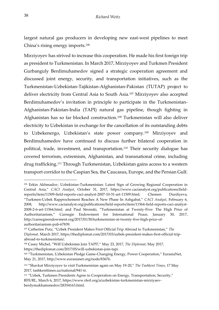largest natural gas producers in developing new east-west pipelines to meet China's rising energy imports.<sup>106</sup>

Mirziyoyev has strived to increase this cooperation. He made his first foreign trip as president to Turkmenistan. In March 2017, Mirziyoyev and Turkmen President Gurbanguly Berdimuhamedov signed a strategic cooperation agreement and discussed joint energy, security, and transportation initiatives, such as the Turkmenistan-Uzbekistan-Tajikistan-Afghanistan-Pakistan (TUTAP) project to deliver electricity from Central Asia to South Asia.<sup>107</sup> Mirziyoyev also accepted Berdimuhamedov's invitation in principle to participate in the Turkmenistan-Afghanistan-Pakistan-India (TAPI) natural gas pipeline, though fighting in Afghanistan has so far blocked construction.<sup>108</sup> Turkmenistan will also deliver electricity to Uzbekistan in exchange for the cancellation of its outstanding debts to Uzbekenergo, Uzbekistan's state power company.<sup>109</sup> Mirziyoyev and Berdimuhamedov have continued to discuss further bilateral cooperation in political, trade, investment, and transportation.<sup>110</sup> Their security dialogue has covered terrorism, extremism, Afghanistan, and transnational crime, including drug trafficking.<sup>111</sup> Through Turkmenistan, Uzbekistan gains access to a western transport corridor to the Caspian Sea, the Caucasus, Europe, and the Persian Gulf.

<sup>106</sup> Erkin Akhmadov, Uzbekistan-Turkmenistan: Latest Sign of Growing Regional Cooperation in Central Asia," *CACI Analyst*, October 31, 2017, https://www.cacianalyst.org/publications/fieldreports/item/11509-field-reports-caci-analyst-2007-10-31-art-11509.html; Chemen Durdiyeva, "Turkmen-Uzbek Rapprochement Reaches A New Phase In Ashgabat," *CACI Analyst*, February 6, 2008, http://www.cacianalyst.org/publications/field-reports/item/11564-field-reports-caci-analyst-2008-2-6-art-11564.html; and Paul Stronski, "Turkmenistan at Twenty-Five: The High Price of Authoritarianism," Carnegie Endowment for International Peace, January 30, 2017, http://carnegieendowment.org/2017/01/30/turkmenistan-at-twenty-five-high-price-ofauthoritarianism-pub-67839.

<sup>107</sup> Catherine Putz, "Uzbek President Makes First Official Trip Abroad to Turkmenistan," *The Diplomat,* March 2017, https://thediplomat.com/2017/03/uzbek-president-makes-first-official-tripabroad-to-turkmenistan/.

<sup>108</sup> Casey Michel, "Will Uzbekistan Join TAPI?," May 23, 2017, *The Diplomat*, May 2017, https://thediplomat.com/2017/05/will-uzbekistan-join-tapi.

<sup>109</sup> "Turkmenistan, Uzbekistan Pledge Game-Changing Energy, Power Cooperation," EurasiaNet, May 21, 2017, http://www.eurasianet.org/node/83676.

<sup>110</sup> "Shavkat Mirziyoyev to visit Turkmenistan again on May 19-20," *The Tashkent Times*, 17 May 2017, tashkenttimes.uz/national/941-tr.

<sup>111</sup> "Uzbek, Turkmen Presidents Agree to Cooperation on Energy, Transportation, Security," RFE*/*RL*,* March 6, 2017, https://www.rferl.org/a/uzbekistan-turkmenistan-mirziyaevberdymukhammedov/28354163.html.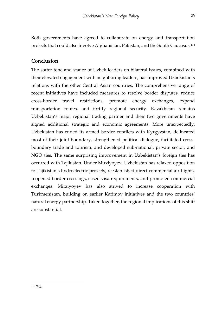Both governments have agreed to collaborate on energy and transportation projects that could also involve Afghanistan, Pakistan, and the South Caucasus.<sup>112</sup>

### <span id="page-40-0"></span>**Conclusion**

The softer tone and stance of Uzbek leaders on bilateral issues, combined with their elevated engagement with neighboring leaders, has improved Uzbekistan's relations with the other Central Asian countries. The comprehensive range of recent initiatives have included measures to resolve border disputes, reduce cross-border travel restrictions, promote energy exchanges, expand transportation routes, and fortify regional security. Kazakhstan remains Uzbekistan's major regional trading partner and their two governments have signed additional strategic and economic agreements. More unexpectedly, Uzbekistan has ended its armed border conflicts with Kyrgyzstan, delineated most of their joint boundary, strengthened political dialogue, facilitated crossboundary trade and tourism, and developed sub-national, private sector, and NGO ties. The same surprising improvement in Uzbekistan's foreign ties has occurred with Tajikistan. Under Mirziyoyev, Uzbekistan has relaxed opposition to Tajikistan's hydroelectric projects, reestablished direct commercial air flights, reopened border crossings, eased visa requirements, and promoted commercial exchanges. Mirziyoyev has also strived to increase cooperation with Turkmenistan, building on earlier Karimov initiatives and the two countries' natural energy partnership. Taken together, the regional implications of this shift are substantial.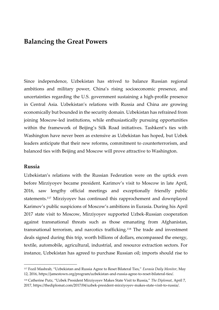### <span id="page-41-0"></span>**Balancing the Great Powers**

Since independence, Uzbekistan has strived to balance Russian regional ambitions and military power, China's rising socioeconomic presence, and uncertainties regarding the U.S. government sustaining a high-profile presence in Central Asia. Uzbekistan's relations with Russia and China are growing economically but bounded in the security domain. Uzbekistan has refrained from joining Moscow-led institutions, while enthusiastically pursuing opportunities within the framework of Beijing's Silk Road initiatives. Tashkent's ties with Washington have never been as extensive as Uzbekistan has hoped, but Uzbek leaders anticipate that their new reforms, commitment to counterterrorism, and balanced ties with Beijing and Moscow will prove attractive to Washington.

#### <span id="page-41-1"></span>**Russia**

-

Uzbekistan's relations with the Russian Federation were on the uptick even before Mirziyoyev became president. Karimov's visit to Moscow in late April, 2016, saw lengthy official meetings and exceptionally friendly public statements.<sup>117</sup> Mirziyoyev has continued this rapprochement and downplayed Karimov's public suspicions of Moscow's ambitions in Eurasia. During his April 2017 state visit to Moscow, Mirziyoyev supported Uzbek-Russian cooperation against transnational threats such as those emanating from Afghanistan, transnational terrorism, and narcotics trafficking.<sup>118</sup> The trade and investment deals signed during this trip, worth billions of dollars, encompassed the energy, textile, automobile, agricultural, industrial, and resource extraction sectors. For instance, Uzbekistan has agreed to purchase Russian oil; imports should rise to

<sup>117</sup> Fozil Mashrab, "Uzbekistan and Russia Agree to Reset Bilateral Ties," *Eurasia Daily Monitor*, May 12, 2016, https://jamestown.org/program/uzbekistan-and-russia-agree-to-reset-bilateral-ties/.

<sup>118</sup> Catherine Putz, "Uzbek President Mirziyoyev Makes State Visit to Russia," *The Diplomat*, April 7, 2017, https://thediplomat.com/2017/04/uzbek-president-mirziyoyev-makes-state-visit-to-russia/.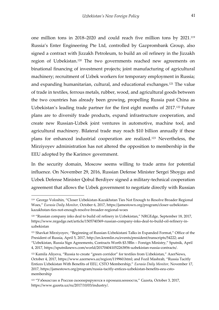one million tons in 2018–2020 and could reach five million tons by 2021.<sup>119</sup> Russia's Enter Engineering Pte Ltd, controlled by Gazprombank Group, also signed a contract with Jizzakh Petroleum, to build an oil refinery in the Jizzakh region of Uzbekistan.<sup>120</sup> The two governments reached new agreements on binational financing of investment projects; joint manufacturing of agricultural machinery; recruitment of Uzbek workers for temporary employment in Russia; and expanding humanitarian, cultural, and educational exchanges.<sup>121</sup> The value of trade in textiles, ferrous metals, rubber, wood, and agricultural goods between the two countries has already been growing, propelling Russia past China as Uzbekistan's leading trade partner for the first eight months of 2017.<sup>122</sup> Future plans are to diversify trade products, expand infrastructure cooperation, and create new Russian-Uzbek joint ventures in automotive, machine tool, and agricultural machinery. Bilateral trade may reach \$10 billion annually if these plans for enhanced industrial cooperation are realized.<sup>123</sup> Nevertheless, the Mirziyoyev administration has not altered the opposition to membership in the EEU adopted by the Karimov government.

In the security domain, Moscow seems willing to trade arms for potential influence. On November 29, 2016, Russian Defense Minister Sergei Shoygu and Uzbek Defense Minister Qobul Berdiyev signed a military-technical cooperation agreement that allows the Uzbek government to negotiate directly with Russian

<sup>119</sup> George Voloshin, "Closer Uzbekistan-Kazakhstan Ties Not Enough to Resolve Broader Regional Woes," *Eurasia Daily Monitor,* October 6, 2017, https://jamestown.org/program/closer-uzbekistankazakhstan-ties-not-enough-resolve-broader-regional-woes

<sup>120</sup> "Russian company inks deal to build oil refinery in Uzbekistan," NRGEdge*,* September 18, 2017, https://www.nrgedge.net/article/1505740369-russian-company-inks-deal-to-build-oil-refinery-inuzbekistan

<sup>121</sup> Shavkat Mirziyoyev, "Beginning of Russian-Uzbekistani Talks in Expanded Format," Office of the President of Russia, April 5, 2017, http://en.kremlin.ru/events/president/transcripts/54222; and "Uzbekistan, Russia Sign Agreements, Contracts Worth \$3.5Bln – Foreign Ministry," Sputnik, April 4, 2017, https://sputniknews.com/world/201704041052263856-uzbekistan-russia-contracts/.

<sup>&</sup>lt;sup>122</sup> Kamila Aliyeva, "Russia to create "green corridor" for textiles from Uzbekistan," AzerNews, October 4, 2017, https://www.azernews.az/region/119960.html; and Fozil Mashrab, "Russia Tacitly Entices Uzbekistan With Benefits of EEU, CSTO Membership," *Eurasia Daily Monitor,* November 17, 2017, https://jamestown.org/program/russia-tacitly-entices-uzbekistan-benefits-eeu-cstomembership

<sup>123</sup> "Узбекистан и Россия скооперируются в промышленности," Gazeta, October 3, 2017, https://www.gazeta.uz/ru/2017/10/03/industry/.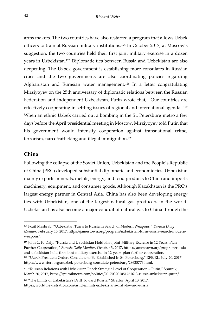arms makers. The two countries have also restarted a program that allows Uzbek officers to train at Russian military institutions.<sup>124</sup> In October 2017, at Moscow's suggestion, the two countries held their first joint military exercise in a dozen years in Uzbekistan.<sup>125</sup> Diplomatic ties between Russia and Uzbekistan are also deepening. The Uzbek government is establishing more consulates in Russian cities and the two governments are also coordinating policies regarding Afghanistan and Eurasian water management.<sup>126</sup> In a letter congratulating Mirziyoyev on the 25th anniversary of diplomatic relations between the Russian Federation and independent Uzbekistan, Putin wrote that, "Our countries are effectively cooperating in settling issues of regional and international agenda."<sup>127</sup> When an ethnic Uzbek carried out a bombing in the St. Petersburg metro a few days before the April presidential meeting in Moscow, Mirziyoyev told Putin that his government would intensify cooperation against transnational crime, terrorism, narcotrafficking and illegal immigration.<sup>128</sup>

#### <span id="page-43-0"></span>**China**

j

Following the collapse of the Soviet Union, Uzbekistan and the People's Republic of China (PRC) developed substantial diplomatic and economic ties. Uzbekistan mainly exports minerals, metals, energy, and food products to China and imports machinery, equipment, and consumer goods. Although Kazakhstan is the PRC's largest energy partner in Central Asia, China has also been developing energy ties with Uzbekistan, one of the largest natural gas producers in the world. Uzbekistan has also become a major conduit of natural gas to China through the

<sup>124</sup> Fozil Mashrab, "Uzbekistan Turns to Russia in Search of Modern Weapons," *Eurasia Daily Monitor*, February 15, 2017, https://jamestown.org/program/uzbekistan-turns-russia-search-modernweapons/.

**<sup>125</sup>** John C. K. Daly, "Russia and Uzbekistan Hold First Joint-Military Exercise in 12 Years, Plan Further Cooperation," *Eurasia Daily Monitor*, October 3, 2017, https://jamestown.org/program/russiaand-uzbekistan-hold-first-joint-military-exercise-in-12-years-plan-further-cooperation.

<sup>126 &</sup>quot;Uzbek President Orders Consulate to Be Established In St. Petersburg," RFE/RL, July 20, 2017, https://www.rferl.org/a/uzbek-petersburg-consulate-petersburg/28628773.html.

<sup>&</sup>lt;sup>127</sup> "Russian Relations with Uzbekistan Reach Strategic Level of Cooperation – Putin," Sputnik, March 20, 2017, https://sputniknews.com/politics/201703201051761613-russia-uzbekistan-putin/.

<sup>128</sup> "The Limits of Uzbekistan's Drift Toward Russia," Stratfor, April 13, 2017, https://worldview.stratfor.com/article/limits-uzbekistans-drift-toward-russia.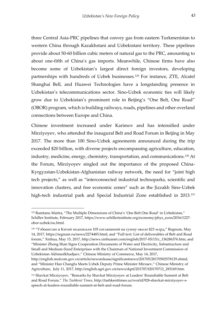three Central Asia-PRC pipelines that convey gas from eastern Turkmenistan to western China through Kazakhstani and Uzbekistani territory. These pipelines provide about 50-60 billion cubic meters of natural gas to the PRC, amounting to about one-fifth of China's gas imports. Meanwhile, Chinese firms have also become some of Uzbekistan's largest direct foreign investors, developing partnerships with hundreds of Uzbek businesses.<sup>129</sup> For instance, ZTE, Alcatel Shanghai Bell, and Huawei Technologies have a longstanding presence in Uzbekistan's telecommunications sector. Sino-Uzbek economic ties will likely grow due to Uzbekistan's prominent role in Beijing's "One Belt, One Road" (OBOR) program, which is building railways, roads, pipelines and other overland connections between Europe and China.

Chinese investment increased under Karimov and has intensified under Mirziyoyev, who attended the inaugural Belt and Road Forum in Beijing in May 2017. The more than 100 Sino-Uzbek agreements announced during the trip exceeded \$20 billion, with diverse projects encompassing agriculture, education, industry, medicine, energy, chemistry, transportation, and communications.<sup>130</sup> At the Forum, Mirziyoyev singled out the importance of the proposed China-Kyrgyzstan-Uzbekistan-Afghanistan railway network, the need for "joint high tech projects," as well as "interconnected industrial technoparks, scientific and innovation clusters, and free economic zones" such as the Jizzakh Sino-Uzbek high-tech industrial park and Special Industrial Zone established in 2013.<sup>131</sup>

<sup>129</sup> Ramtanu Maitra, "The Multiple Dimensions of China's 'One Belt One Road' in Uzbekistan," Schiller Institute, February 2017, https://www.schillerinstitute.org/economy/phys\_econ/2016/1227 obor-uzbek/ou.html.

<sup>130</sup> "Узбекистан и Китай подписали 105 соглашений на сумму около \$23 млрд," Regnum, May 14, 2017, https://regnum.ru/news/2274485.html; and "Full text: List of deliverables of Belt and Road forum," Xinhua, May 15, 2017, http://news.xinhuanet.com/english/2017-05/15/c\_136286376.htm; and "Minister Zhong Shan Signs Cooperation Documents of Water and Electricity, Infrastructure and Small and Medium-Sized Enterprises with the Chairman of National Investment Commission of Uzbekistan Akhmedkhadjaev," Chinese Ministry of Commerce, May 14, 2017,

http://english.mofcom.gov.cn/article/newsrelease/significantnews/201705/20170502578129.shtml; and "Minister Han Changfu Meets Uzbek Deputy Prime Minister Mirzaev," Chinese Ministry of Agriculture, July 11, 2017, http://english.agri.gov.cn/news/dqnf/201707/t20170712\_283169.htm.

<sup>131</sup> Shavkat Mirziyoyev, "Remarks by Shavkat Mirziyoyev at Leaders' Roundtable Summit at Belt and Road Forum," *The Tashkent Times*, http://tashkenttimes.uz/world/928-shavkat-mirziyoyev-sspeech-at-leaders-roundtable-summit-at-belt-and-road-forum.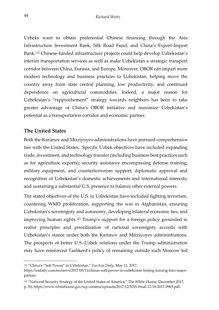Uzbeks want to obtain preferential Chinese financing through the Asia Infrastructure Investment Bank, Silk Road Fund, and China's Export-Import Bank.<sup>132</sup> Chinese-funded infrastructure projects could help develop Uzbekistan's interior transportation services as well as make Uzbekistan a strategic transport corridor between China, Eurasia, and Europe. Moreover, OBOR can impart more modern technology and business practices to Uzbekistan, helping move the country away from state central planning, low productivity, and continued dependence on agricultural commodities. Indeed, a major reason for Uzbekistan's "rapprochement" strategy towards neighbors has been to take greater advantage of China's OBOR initiative and maximize Uzbekistan's potential as a transportation corridor and economic partner.

### <span id="page-45-0"></span>**The United States**

-

Both the Karimov and Mirziyoyev administrations have pursued comprehensive ties with the United States. Specific Uzbek objectives have included expanding trade, investment, and technology transfer (including business best practices such as for agriculture exports); security assistance encompassing defense training, military equipment, and counterterrorism support; diplomatic approval and recognition of Uzbekistan's domestic achievements and international interests; and sustaining a substantial U.S. presence to balance other external powers.

The stated objectives of the U.S. in Uzbekistan have included fighting terrorism, countering WMD proliferation, supporting the war in Afghanistan, ensuring Uzbekistan's sovereignty and autonomy, developing bilateral economic ties, and improving human rights.<sup>133</sup> Trump's support for a foreign policy grounded in realist principles and prioritization of national sovereignty accords with Uzbekistan's stance under both the Karimov and Mirziyoyev administrations. The prospects of better U.S.-Uzbek relations under the Trump administration may have reinforced Tashkent's policy of remaining outside such Moscow-led

<sup>132</sup> "China's "Soft Power" in Uzbekistan," *EurAsia Daily*, May 11, 2017,

https://eadaily.com/en/news/2017/05/11/chinas-soft-power-in-uzbekistan-beijing-turning-into-majorpartner.

<sup>133</sup> "National Security Strategy of the United States of America," The White House, December 2017, p. 50, https://www.whitehouse.gov/wp-content/uploads/2017/12/NSS-Final-12-18-2017-0905.pdf.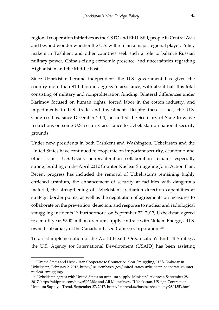regional cooperation initiatives as the CSTO and EEU. Still, people in Central Asia and beyond wonder whether the U.S. will remain a major regional player. Policy makers in Tashkent and other countries seek such a role to balance Russian military power, China's rising economic presence, and uncertainties regarding Afghanistan and the Middle East.

Since Uzbekistan became independent, the U.S. government has given the country more than \$1 billion in aggregate assistance, with about half this total consisting of military and nonproliferation funding. Bilateral differences under Karimov focused on human rights, forced labor in the cotton industry, and impediments to U.S. trade and investment. Despite these issues, the U.S. Congress has, since December 2011, permitted the Secretary of State to waive restrictions on some U.S. security assistance to Uzbekistan on national security grounds.

Under new presidents in both Tashkent and Washington, Uzbekistan and the United States have continued to cooperate on important security, economic, and other issues. U.S.-Uzbek nonproliferation collaboration remains especially strong, building on the April 2012 Counter Nuclear Smuggling Joint Action Plan. Recent progress has included the removal of Uzbekistan's remaining highly enriched uranium, the enhancement of security at facilities with dangerous material, the strengthening of Uzbekistan's radiation detection capabilities at strategic border points, as well as the negotiation of agreements on measures to collaborate on the prevention, detection, and response to nuclear and radiological smuggling incidents.<sup>134</sup> Furthermore, on September 27, 2017, Uzbekistan agreed to a multi-year, \$300 million uranium supply contract with Nukem Energy, a U.S. owned subsidiary of the Canadian-based Cameco Corporation.<sup>135</sup>

To assist implementation of the World Health Organization's End TB Strategy, the U.S. Agency for International Development (USAID) has been assisting

<sup>134 &</sup>quot;United States and Uzbekistan Cooperate to Counter Nuclear Smuggling," U.S. Embassy in Uzbekistan, February 2, 2017, https://uz.usembassy.gov/united-states-uzbekistan-cooperate-counternuclear-smuggling/.

<sup>&</sup>lt;sup>135</sup> "Uzbekistan agrees with United States on uranium supply: Minister," Akipress, September 28, 2017, https://akipress.com/news:597238/; and Ali Mustafayev, "Uzbekistan, US sign Contract on Uranium Supply," Trend, September 27, 2017, https://en.trend.az/business/economy/2801353.html.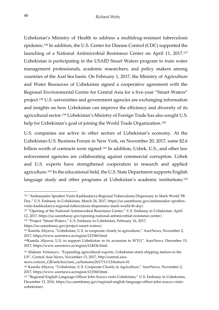Uzbekistan's Ministry of Health to address a multidrug-resistant tuberculosis epidemic.<sup>136</sup> In addition, the U.S. Center for Disease Control (CDC) supported the launching of a National Antimicrobial Resistance Center on April 11, 2017.<sup>137</sup> Uzbekistan is participating in the USAID Smart Waters program to train water management professionals, academic researchers, and policy makers among countries of the Aral Sea basin. On February 1, 2017, the Ministry of Agriculture and Water Resources of Uzbekistan signed a cooperative agreement with the Regional Environmental Centre for Central Asia for a five-year "Smart Waters" project.<sup>138</sup> U.S. universities and government agencies are exchanging information and insights on how Uzbekistan can improve the efficiency and diversity of its agricultural sector.<sup>139</sup> Uzbekistan's Ministry of Foreign Trade has also sought U.S. help for Uzbekistan's goal of joining the World Trade Organization.<sup>140</sup>

U.S. companies are active in other sectors of Uzbekistan's economy. At the Uzbekistan-U.S. Business Forum in New York, on November 20, 2017, some \$2.6 billion worth of contracts were signed.<sup>141</sup> In addition, Uzbek, U.S., and other law enforcement agencies are collaborating against commercial corruption. Uzbek and U.S. experts have strengthened cooperation in research and applied agriculture.<sup>142</sup> In the educational field, the U.S. State Department supports English language study and other programs at Uzbekistan's academic institutions.<sup>143</sup>

https://uz.usembassy.gov/project-smart-waters/.

j

<sup>136</sup> "Ambassador Spratlen Visits Kashkadarya Regional Tuberculosis Dispensary to Mark World TB Day," U.S. Embassy in Uzbekistan, March 24, 2017, https://uz.usembassy.gov/ambassador-spratlenvisits-kashkadarya-regional-tuberculosis-dispensary-mark-world-tb-day/.

<sup>&</sup>lt;sup>137</sup> "Opening of the National Antimicrobial Resistance Center," U.S. Embassy in Uzbekistan, April 12, 2017, https://uz.usembassy.gov/opening-national-antimicrobial-resistance-center/.

<sup>138</sup> "Project "Smart Waters," U.S. Embassy in Uzbekistan, February 16, 2017,

<sup>139</sup> Kamila Aliyeva, "Uzbekistan, U.S. to cooperate closely in agriculture," AzerNews, November 2, 2017, https://www.azernews.az/region/121560.html

<sup>140</sup>Kamila Aliyeva, U.S. to support Uzbekistan in its accession to WTO," AzerNews, December 15, 2017, https://www.azernews.az/region/124036.html.

<sup>141</sup> Maksim Yeniseyev, "Expanding agricultural exports, Uzbekistan starts shipping melons to the US", Central Asia News, November 13, 2017, http://central.asia-

news.com/en\_GB/articles/cnmi\_ca/features/2017/11/13/feature-01.

<sup>&</sup>lt;sup>142</sup> Kamila Aliyeva, "Uzbekistan, U.S. Cooperate Closely in Agriculture," AzerNews, November 2, 2017, https://www.azernews.az/region/121560.html.

<sup>143</sup> "Regional English Language Officer John Scacco visits Uzbekistan," U.S. Embassy in Uzbekistan, December 13, 2016, https://uz.usembassy.gov/regional-english-language-officer-john-scacco-visitsuzbekistan/.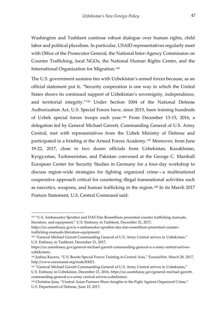Washington and Tashkent continue robust dialogue over human rights, child labor and political pluralism. In particular, USAID representatives regularly meet with Office of the Prosecutor General, the National Inter-Agency Commission on Counter Trafficking, local NGOs, the National Human Rights Center, and the International Organization for Migration.<sup>144</sup>

The U.S. government sustains ties with Uzbekistan's armed forces because, as an official statement put it, "Security cooperation is one way in which the United States shows its continued support of Uzbekistan's sovereignty, independence, and territorial integrity."<sup>145</sup> Under Section 1004 of the National Defense Authorization Act, U.S. Special Forces have, since 2015, been training hundreds of Uzbek special forces troops each year.<sup>146</sup> From December 13-15, 2016, a delegation led by General Michael Garrett, Commanding General of U.S. Army Central, met with representatives from the Uzbek Ministry of Defense and participated in a briefing at the Armed Forces Academy.<sup>147</sup> Moreover, from June 19-22, 2017, close to two dozen officials from Uzbekistan, Kazakhstan, Kyrgyzstan, Turkmenistan, and Pakistan convened at the George C. Marshall European Center for Security Studies in Germany for a four-day workshop to discuss region-wide strategies for fighting organized crime—a multinational cooperative approach critical for countering illegal transnational activities such as narcotics, weapons, and human trafficking in the region.<sup>148</sup> In its March 2017 Posture Statement, U.S. Central Command said:

<sup>144</sup> "U.S. Ambassador Spratlen and DAS Dan Rosenblum presented counter trafficking manuals, literature, and equipment," U.S. Embassy in Tashkent, December 21, 2017,

https://uz.usembassy.gov/u-s-ambassador-spratlen-das-dan-rosenblum-presented-countertrafficking-manuals-literature-equipment/.

<sup>&</sup>lt;sup>145</sup> "General Michael Garrett Commanding General of U.S. Army Central arrives in Uzbekistan," U.S. Embassy in Tashkent, December 21, 2017,

https://uz.usembassy.gov/general-michael-garrett-commanding-general-u-s-army-central-arrivesuzbekistan/.

<sup>146</sup> Joshua Kucera, "U.S. Boosts Special Forces Training in Central Asia," EurasiaNet, March 28, 2017, http://www.eurasianet.org/node/83021.

<sup>&</sup>lt;sup>147</sup> "General Michael Garrett Commanding General of U.S. Army Central arrives in Uzbekistan," U.S. Embassy in Uzbekistan, December 21, 2016, https://uz.usembassy.gov/general-michael-garrettcommanding-general-u-s-army-central-arrives-uzbekistan/.

<sup>148</sup> Christine June, "Central Asian Partners Share Insights in the Fight Against Organized Crime," U.S. Department of Defense, June 23, 2017,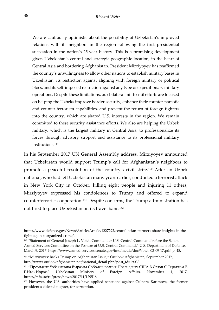We are cautiously optimistic about the possibility of Uzbekistan's improved relations with its neighbors in the region following the first presidential succession in the nation's 25-year history. This is a promising development given Uzbekistan's central and strategic geographic location, in the heart of Central Asia and bordering Afghanistan. President Mirziyoyev has reaffirmed the country's unwillingness to allow other nations to establish military bases in Uzbekistan, its restriction against aligning with foreign military or political blocs, and its self-imposed restriction against any type of expeditionary military operations. Despite these limitations, our bilateral mil-to-mil efforts are focused on helping the Uzbeks improve border security, enhance their counter-narcotic and counter-terrorism capabilities, and prevent the return of foreign fighters into the country, which are shared U.S. interests in the region. We remain committed to these security assistance efforts. We also are helping the Uzbek military, which is the largest military in Central Asia, to professionalize its forces through advisory support and assistance to its professional military institutions.<sup>149</sup>

In his September 2017 UN General Assembly address, Mirziyoyev announced that Uzbekistan would support Trump's call for Afghanistan's neighbors to promote a peaceful resolution of the country's civil strife.<sup>150</sup> After an Uzbek national, who had left Uzbekistan many years earlier, conducted a terrorist attack in New York City in October, killing eight people and injuring 11 others, Mirziyoyev expressed his condolences to Trump and offered to expand counterterrorist cooperation.<sup>151</sup> Despite concerns, the Trump administration has not tried to place Uzbekistan on its travel bans.<sup>152</sup>

j

https://www.defense.gov/News/Article/Article/1227292/central-asian-partners-share-insights-in-thefight-against-organized-crime/.

<sup>149</sup> "Statement of General Joseph L. Votel, Commander U.S. Central Command before the Senate Armed Services Committee on the Posture of U.S. Central Command," U.S. Department of Defense, March 9, 2017, https://www.armed-services.senate.gov/imo/media/doc/Votel\_03-09-17.pdf. p. 48.

<sup>&</sup>lt;sup>150</sup> "Mirziyoyev Backs Trump on Afghanistan Issue," Outlook Afghanistan, September 2017, http://www.outlookafghanistan.net/national\_detail.php?post\_id=19033.

<sup>151</sup> "Президент Узбекистана Выразил Соболезнования Президенту США В Связи С Терактом В Г.Нью-Йорке," Uzbekistan Ministry of Foreign Affairs, November 1, 2017, https://mfa.uz/ru/press/news/2017/11/12951/.

<sup>152</sup> However, the U.S. authorities have applied sanctions against Gulnara Karimova, the former president's eldest daughter, for corruption.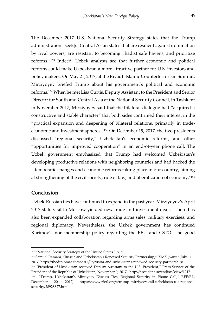The December 2017 U.S. National Security Strategy states that the Trump administration "seek[s] Central Asian states that are resilient against domination by rival powers, are resistant to becoming jihadist safe havens, and prioritize reforms."<sup>153</sup> Indeed, Uzbek analysts see that further economic and political reforms could make Uzbekistan a more attractive partner for U.S. investors and policy makers. On May 21, 2017, at the Riyadh Islamic Counterterrorism Summit, Mirziyoyev briefed Trump about his government's political and economic reforms.<sup>154</sup> When he met Lisa Curtis, Deputy Assistant to the President and Senior Director for South and Central Asia at the National Security Council, in Tashkent in November 2017, Mirziyoyev said that the bilateral dialogue had "acquired a constructive and stable character" that both sides confirmed their interest in the "practical expansion and deepening of bilateral relations, primarily in tradeeconomic and investment spheres."<sup>155</sup> On December 19, 2017, the two presidents discussed "regional security," Uzbekistan's economic reforms, and other "opportunities for improved cooperation" in an end-of-year phone call. The Uzbek government emphasized that Trump had welcomed Uzbekistan's developing productive relations with neighboring countries and had backed the "democratic changes and economic reforms taking place in our country, aiming at strengthening of the civil society, rule of law, and liberalization of economy."<sup>156</sup>

#### <span id="page-50-0"></span>**Conclusion**

-

Uzbek-Russian ties have continued to expand in the past year. Mirziyoyev's April 2017 state visit to Moscow yielded new trade and investment deals. There has also been expanded collaboration regarding arms sales, military exercises, and regional diplomacy. Nevertheless, the Uzbek government has continued Karimov's non-membership policy regarding the EEU and CSTO. The good

<sup>153</sup> "National Security Strategy of the United States," p. 50.

<sup>154</sup> Samuel Ramani, "Russia and Uzbekistan's Renewed Security Partnership," *The Diplomat*, July 11, 2017, https://thediplomat.com/2017/07/russia-and-uzbekistans-renewed-security-partnership/.

<sup>&</sup>lt;sup>155</sup> "President of Uzbekistan received Deputy Assistant to the U.S. President," Press Service of the President of the Republic of Uzbekistan, November 9, 2017, http://president.uz/en/lists/view/1217 156 "Trump, Uzbekistan's Mirziyoev Discuss Ties, Regional Security in Phone Call," RFE/RL,

December 20, 2017, https://www.rferl.org/a/trump-mirziyoev-call-uzbekistan-u-s-regionalsecurity/28928827.html.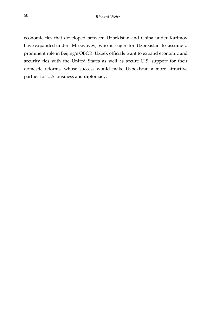economic ties that developed between Uzbekistan and China under Karimov have expanded under Mirziyoyev, who is eager for Uzbekistan to assume a prominent role in Beijing's OBOR. Uzbek officials want to expand economic and security ties with the United States as well as secure U.S. support for their domestic reforms, whose success would make Uzbekistan a more attractive partner for U.S. business and diplomacy.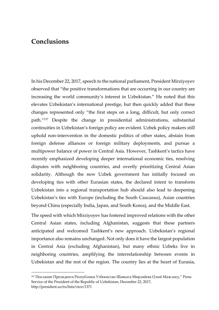## <span id="page-52-0"></span>**Conclusions**

-

In his December 22, 2017, speech to the national parliament, President Mirziyoyev observed that "the positive transformations that are occurring in our country are increasing the world community's interest in Uzbekistan." He noted that this elevates Uzbekistan's international prestige, but then quickly added that these changes represented only "the first steps on a long, difficult, but only correct path."<sup>157</sup> Despite the change in presidential administrations, substantial continuities in Uzbekistan's foreign policy are evident. Uzbek policy makers still uphold non-intervention in the domestic politics of other states, abstain from foreign defense alliances or foreign military deployments, and pursue a multipower balance of power in Central Asia. However, Tashkent's tactics have recently emphasized developing deeper international economic ties, resolving disputes with neighboring countries, and overtly prioritizing Central Asian solidarity. Although the new Uzbek government has initially focused on developing ties with other Eurasian states, the declared intent to transform Uzbekistan into a regional transportation hub should also lead to deepening Uzbekistan's ties with Europe (including the South Caucasus), Asian countries beyond China (especially India, Japan, and South Korea), and the Middle East.

The speed with which Mirziyoyev has fostered improved relations with the other Central Asian states, including Afghanistan, suggests that these partners anticipated and welcomed Tashkent's new approach. Uzbekistan's regional importance also remains unchanged. Not only does it have the largest population in Central Asia (excluding Afghanistan), but many ethnic Uzbeks live in neighboring countries, amplifying the interrelationship between events in Uzbekistan and the rest of the region. The country lies at the heart of Eurasia,

<sup>157</sup> Послание Президента Республики Узбекистан Шавката Мирзиёева Олий Мажлису," Press Service of the President of the Republic of Uzbekistan, December 22, 2017, http://president.uz/ru/lists/view/1371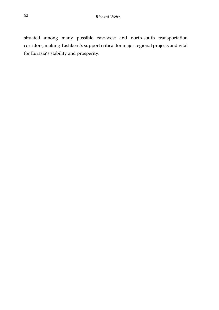situated among many possible east-west and north-south transportation corridors, making Tashkent's support critical for major regional projects and vital for Eurasia's stability and prosperity.